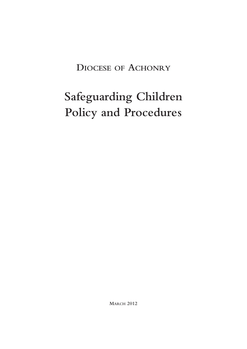## **DIOCESE OF ACHONRY**

# **Safeguarding Children Policy and Procedures**

**MARCH 2012**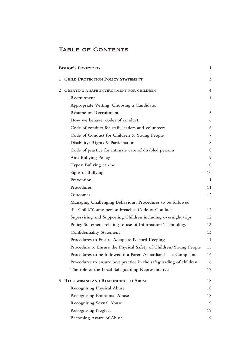## TABLE OF CONTENTS

|   | <b>BISHOP'S FOREWORD</b>                                           | $\mathbf{1}$   |
|---|--------------------------------------------------------------------|----------------|
| 1 | <b>CHILD PROTECTION POLICY STATEMENT</b>                           | 3              |
| 2 | CREATING A SAFE ENVIRONMENT FOR CHILDREN                           | $\overline{4}$ |
|   | Recruitment                                                        | $\overline{4}$ |
|   | Appropriate Vetting: Choosing a Candidate:                         |                |
|   | Résumé on Recruitment                                              | 5              |
|   | How we behave: codes of conduct                                    | 6              |
|   | Code of conduct for staff, leaders and volunteers                  | 6              |
|   | Code of Conduct for Children & Young People                        | 7              |
|   | Disability: Rights & Participation                                 | 8              |
|   | Code of practice for intimate care of disabled persons             | $\, 8$         |
|   | Anti-Bullying Policy                                               | 9              |
|   | Types: Bullying can be                                             | 10             |
|   | Signs of Bullying                                                  | 10             |
|   | Prevention                                                         | 11             |
|   | Procedures                                                         | 11             |
|   | Outcomes                                                           | 12             |
|   | Managing Challenging Behaviour: Procedures to be followed          |                |
|   | if a Child/Young person breaches Code of Conduct                   | 12             |
|   | Supervising and Supporting Children including overnight trips      | 12             |
|   | Policy Statement relating to use of Information Technology         | 13             |
|   | <b>Confidentiality Statement</b>                                   | 13             |
|   | Procedures to Ensure Adequate Record Keeping                       | 14             |
|   | Procedure to Ensure the Physical Safety of Children/Young People   | 15             |
|   | Procedures to be followed if a Parent/Guardian has a Complaint     | 16             |
|   | Procedures to ensure best practice in the safeguarding of children | 16             |
|   | The role of the Local Safeguarding Representative                  | 17             |
| 3 | RECOGNISING AND RESPONDING TO ABUSE                                | 18             |
|   | <b>Recognising Physical Abuse</b>                                  | 18             |
|   | <b>Recognising Emotional Abuse</b>                                 | 18             |
|   | <b>Recognising Sexual Abuse</b>                                    | 19             |
|   | <b>Recognising Neglect</b>                                         | 19             |
|   | Becoming Aware of Abuse                                            | 19             |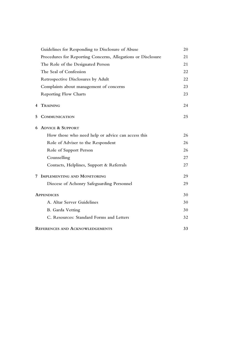|   | Guidelines for Responding to Disclosure of Abuse             | 20 |
|---|--------------------------------------------------------------|----|
|   | Procedures for Reporting Concerns, Allegations or Disclosure | 21 |
|   | The Role of the Designated Person                            | 21 |
|   | The Seal of Confession                                       | 22 |
|   | <b>Retrospective Disclosures by Adult</b>                    | 22 |
|   | Complaints about management of concerns                      | 23 |
|   | <b>Reporting Flow Charts</b>                                 | 23 |
| 4 | <b>TRAINING</b>                                              | 24 |
| 5 | <b>COMMUNICATION</b>                                         | 25 |
| 6 | <b>ADVICE &amp; SUPPORT</b>                                  |    |
|   | How those who need help or advice can access this            | 26 |
|   | Role of Adviser to the Respondent                            | 26 |
|   | Role of Support Person                                       | 26 |
|   | Counselling                                                  | 27 |
|   | Contacts, Helplines, Support & Referrals                     | 27 |
| 7 | <b>IMPLEMENTING AND MONITORING</b>                           | 29 |
|   | Diocese of Achonry Safeguarding Personnel                    | 29 |
|   | <b>APPENDICES</b>                                            | 30 |
|   | A. Altar Server Guidelines                                   | 30 |
|   | <b>B.</b> Garda Vetting                                      | 30 |
|   | C. Resources: Standard Forms and Letters                     | 32 |
|   | <b>REFERENCES AND ACKNOWLEDGEMENTS</b>                       | 33 |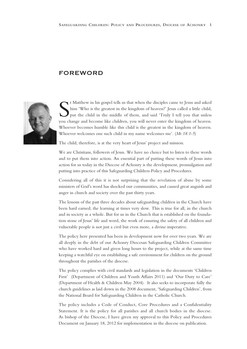### FOREWORD



If Matthew in his gospel tells us that when the disciples came to Jesus and asked<br>him 'Who is the greatest in the kingdom of heaven?' Jesus called a little child,<br>put the child in the middle of them, and said 'Truly I tell t Matthew in his gospel tells us that when the disciples came to Jesus and asked him 'Who is the greatest in the kingdom of heaven?' Jesus called a little child, put the child in the middle of them, and said 'Truly I tell you that unless Whoever becomes humble like this child is the greatest in the kingdom of heaven. Whoever welcomes one such child in my name welcomes me'. (*Mt.18:1-5*)

The child, therefore, is at the very heart of Jesus' project and mission.

We are Christians, followers of Jesus. We have no choice but to listen to these words and to put them into action. An essential part of putting these words of Jesus into action for us today in the Diocese of Achonry is the development, promulgation and putting into practice of this Safeguarding Children Policy and Procedures.

Considering all of this it is not surprising that the revelation of abuse by some ministers of God's word has shocked our communities, and caused great anguish and anger in church and society over the past thirty years.

The lessons of the past three decades about safeguarding children in the Church have been hard earned; the learning at times very slow. This is true for all, in the church and in society as a whole. But for us in the Church that is established on the foundation stone of Jesus' life and word, the work of ensuring the safety of all children and vulnerable people is not just a civil but even more, a divine imperative.

The policy here presented has been in development now for over two years. We are all deeply in the debt of our Achonry Diocesan Safeguarding Children Committee who have worked hard and given long hours to the project, while at the same time keeping a watchful eye on establishing a safe environment for children on the ground throughout the parishes of the diocese.

The policy complies with civil standards and legislation in the documents 'Children First' (Department of Children and Youth Affairs 2011) and 'Our Duty to Care' (Department of Health & Children May 2004). It also seeks to incorporate fully the church guidelines as laid down in the 2008 document, 'Safeguarding Children', from the National Board for Safeguarding Children in the Catholic Church.

The policy includes a Code of Conduct, Core Procedures and a Confidentiality Statement. It is the policy for all parishes and all church bodies in the diocese. As bishop of the Diocese, I have given my approval to this Policy and Procedures Document on January 18, 2012 for implementation in the diocese on publication.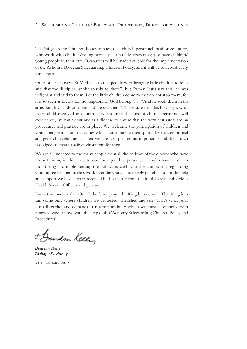The Safeguarding Children Policy applies to all church personnel, paid or voluntary, who work with children/young people (i.e. up to 18 years of age) or have children/ young people in their care. Resources will be made available for the implementation of the Achonry Diocesan Safeguarding Children Policy, and it will be reviewed every three years.

On another occasion, St Mark tells us that people were bringing little children to Jesus and that the disciples "spoke sternly to them", but "when Jesus saw this, he was indignant and said to them 'Let the little children come to me: do not stop them; for it is to such as these that the kingdom of God belongs'… "And he took them in his arms, laid his hands on them and blessed them". To ensure that this blessing is what every child involved in church activities or in the care of church personnel will experience, we must continue as a diocese to ensure that the very best safeguarding procedures and practice are in place. We welcome the participation of children and young people in church activities which contribute to their spiritual, social, emotional and general development. Their welfare is of paramount importance and the church is obliged to create a safe environment for them.

We are all indebted to the many people from all the parishes of the diocese who have taken training in this area, to our local parish representatives who have a role in monitoring and implementing the policy, as well as to the Diocesan Safeguarding Committee for their tireless work over the years. I am deeply grateful also for the help and support we have always received in this matter from the local Gardaí and various Health Service Officers and personnel.

Every time we say the 'Our Father', we pray "thy Kingdom come". That Kingdom can come only where children are protected, cherished and safe. That's what Jesus himself teaches and demands. It is a responsibility which we must all embrace with renewed vigour now, with the help of this 'Achonry Safeguarding Children Policy and Procedures'.

+ Bendan Keeley

*Brendan Kelly Bishop of Achrony*

30TH JANUARY 2012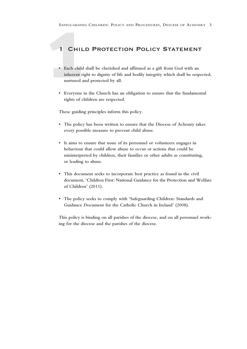## 1 Child Protection Policy Statement

- SAFEGUARDIN<br>
1 CHIL<br>
 Each child<br>
inherent ri<br>
nurtured a<br>
 Everyone i **• Each child shall be cherished and affirmed as a gift from God with an inherent right to dignity of life and bodily integrity which shall be respected, nurtured and protected by all.**
	- **• Everyone in the Church has an obligation to ensure that the fundamental rights of children are respected.**

**These guiding principles inform this policy.**

- **• The policy has been written to ensure that the Diocese of Achonry takes every possible measure to prevent child abuse.**
- **• It aims to ensure that none of its personnel or volunteers engages in behaviour that could allow abuse to occur or actions that could be misinterpreted by children, their families or other adults as constituting, or leading to abuse.**
- **• This document seeks to incorporate best practice as found in the civil document, 'Children First: National Guidance for the Protection and Welfare of Children' (2011).**
- **• The policy seeks to comply with 'Safeguarding Children: Standards and Guidance Document for the Catholic Church in Ireland' (2008).**

**This policy is binding on all parishes of the diocese, and on all personnel working for the diocese and the parishes of the diocese.**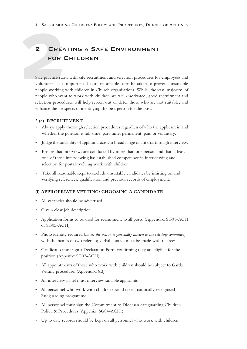## **2** Creating a Safe Environment for Children

4 SAFEGUARDIN<br> **2** CREA<br>
FOR C<br>
Safe practice start:<br>
volunteers. It is i<br>
people working v<br>
people who want Safe practice starts with safe recruitment and selection procedures for employees and volunteers. It is important that all reasonable steps be taken to prevent unsuitable people working with children in Church organisations. While the vast majority of people who want to work with children are well-motivated, good recruitment and selection procedures will help screen out or deter those who are not suitable, and enhance the prospects of identifying the best person for the post.

#### **2 (a) RECRUITMENT**

- Always apply thorough selection procedures regardless of who the applicant is, and whether the position is full-time, part-time, permanent, paid or voluntary.
- Judge the suitability of applicants across a broad range of criteria, through interview.
- Ensure that interviews are conducted by more than one person and that at least one of those interviewing has established competence in interviewing and selection for posts involving work with children.
- Take all reasonable steps to exclude unsuitable candidates by insisting on and verifying references, qualification and previous records of employment.

#### **(i) APPROPRIATE VETTING: CHOOSING A CANDIDATE**

- All vacancies should be advertised
- Give a clear job description
- Application forms to be used for recruitment to all posts. (Appendix: SG01-ACH or SG05-ACH)
- Photo identity required (*unless the person is personally known to the selecting committee*) with the names of two referees; verbal contact must be made with referees
- Candidates must sign a Declaration Form confirming they are eligible for the position (Appenix: SG02-ACH)
- All appointments of those who work with children should be subject to Garda Vetting procedure. (Appendix: 8B)
- An interview panel must interview suitable applicants
- All personnel who work with children should take a nationally recognised Safeguarding programme.
- All personnel must sign the Commitment to Diocesan Safeguarding Children Policy & Procedures (Appenix: SG04-ACH )
- Up to date records should be kept on all personnel who work with children.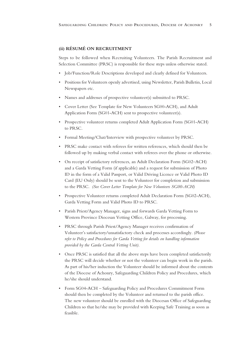#### **(ii) RÉSUMÉ ON RECRUITMENT**

Steps to be followed when Recruiting Volunteers. The Parish Recruitment and Selection Committee (PRSC) is responsible for these steps unless otherwise stated.

- Job/Function/Role Descriptions developed and clearly defined for Volunteers.
- Positions for Volunteers openly advertised, using Newsletter, Parish Bulletin, Local Newspapers etc.
- Names and addresses of prospective volunteer(s) submitted to PRSC.
- Cover Letter (See Template for New Volunteers SG00-ACH), and Adult Application Form (SG01-ACH) sent to prospective volunteer(s).
- Prospective volunteer returns completed Adult Application Form (SG01-ACH) to PRSC.
- Formal Meeting/Chat/Interview with prospective volunteer by PRSC.
- PRSC make contact with referees for written references, which should then be followed up by making verbal contact with referees over the phone or otherwise.
- On receipt of satisfactory references, an Adult Declaration Form (SG02–ACH) and a Garda Vetting Form (if applicable) and a request for submission of Photo ID in the form of a Valid Passport, or Valid Driving Licence or Valid Photo ID Card (EU Only) should be sent to the Volunteer for completion and submission to the PRSC. *(See Cover Letter Template for New Volunteers SG00-ACH)*
- Prospective Volunteer returns completed Adult Declaration Form (SG02-ACH), Garda Vetting Form and Valid Photo ID to PRSC.
- Parish Priest/Agency Manager, signs and forwards Garda Vetting Form to Western Province Diocesan Vetting Office, Galway, for processing.
- PRSC through Parish Priest/Agency Manager receives confirmation of Volunteer's satisfactory/unsatisfactory check and processes accordingly. *(Please refer to Policy and Procedures for Garda Vetting for details on handling information provided by the Garda Central Vetting Unit)*.
- Once PRSC is satisfied that all the above steps have been completed satisfactorily the PRSC will decide whether or not the volunteer can begin work in the parish. As part of his/her induction the Volunteer should be informed about the contents of the Diocese of Achonry, Safeguarding Children Policy and Procedures, which he/she should understand.
- Form SG04-ACH Safeguarding Policy and Procedures Commitment Form should then be completed by the Volunteer and returned to the parish office. The new volunteer should be enrolled with the Diocesan Office of Safeguarding Children so that he/she may be provided with Keeping Safe Training as soon as feasible.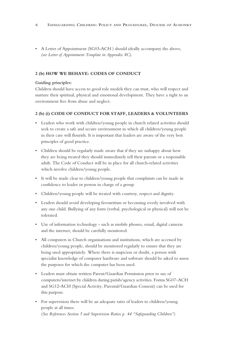• A Letter of Appointment (SG03-ACH ) should ideally accompany the above, *(see Letter of Appointment Template in Appendix 8C)*.

#### **2 (b) HOW WE BEHAVE: CODES OF CONDUCT**

#### **Guiding principles:**

Children should have access to good role models they can trust, who will respect and nurture their spiritual, physical and emotional development. They have a right to an environment free from abuse and neglect.

#### **2 (b) (i) CODE OF CONDUCT FOR STAFF, LEADERS & VOLUNTEERS**

- Leaders who work with children/young people in church related activities should seek to create a safe and secure environment in which all children/young people in their care will flourish. It is important that leaders are aware of the very best principles of good practice.
- Children should be regularly made aware that if they are unhappy about how they are being treated they should immediately tell their parents or a responsible adult. The Code of Conduct will be in place for all church-related activities which involve children/young people.
- It will be made clear to children/young people that complaints can be made in confidence to leader or person in charge of a group.
- Children/young people will be treated with courtesy, respect and dignity.
- Leaders should avoid developing favouritism or becoming overly involved with any one child. Bullying of any form (verbal, psychological or physical) will not be tolerated.
- Use of information technology such as mobile phones, email, digital cameras and the internet, should be carefully monitored.
- All computers in Church organisations and institutions, which are accessed by children/young people, should be monitored regularly to ensure that they are being used appropriately. Where there is suspicion or doubt, a person with specialist knowledge of computer hardware and software should be asked to assess the purposes for which the computer has been used.
- Leaders must obtain written Parent/Guardian Permission prior to use of computers/internet by children during parish/agency activities. Forms SG07–ACH and SG12-ACH (Special Activity, Parental/Guardian Consent) can be used for this purpose.
- For supervision there will be an adequate ratio of leaders to children/young people at all times. (*See References Section 5 and Supervision Ratios p. 44 "Safeguarding Children")*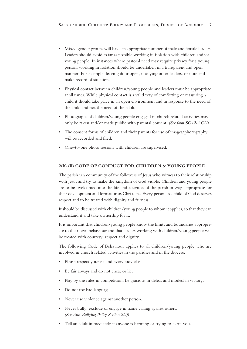- Mixed gender groups will have an appropriate number of male and female leaders. Leaders should avoid as far as possible working in isolation with children and/or young people. In instances where pastoral need may require privacy for a young person, working in isolation should be undertaken in a transparent and open manner. For example: leaving door open, notifying other leaders, or note and make record of situation.
- Physical contact between children/young people and leaders must be appropriate at all times. While physical contact is a valid way of comforting or reassuring a child it should take place in an open environment and in response to the need of the child and not the need of the adult.
- Photographs of children/young people engaged in church related activities may only be taken and/or made public with parental consent. *(See form SG12-ACH)*
- The consent forms of children and their parents for use of images/photography will be recorded and filed.
- One–to-one photo sessions with children are supervised.

#### **2(b) (ii) CODE OF CONDUCT FOR CHILDREN & YOUNG PEOPLE**

The parish is a community of the followers of Jesus who witness to their relationship with Jesus and try to make the kingdom of God visible. Children and young people are to be welcomed into the life and activities of the parish in ways appropriate for their development and formation as Christians. Every person as a child of God deserves respect and to be treated with dignity and fairness.

It should be discussed with children/young people to whom it applies, so that they can understand it and take ownership for it.

It is important that children/young people know the limits and boundaries appropriate to their own behaviour and that leaders working with children/young people will be treated with courtesy, respect and dignity.

The following Code of Behaviour applies to all children/young people who are involved in church related activities in the parishes and in the diocese.

- Please respect yourself and everybody else
- Be fair always and do not cheat or lie.
- Play by the rules in competition; be gracious in defeat and modest in victory.
- Do not use bad language.
- Never use violence against another person.
- Never bully, exclude or engage in name calling against others. *(See Anti-Bullying Policy Section 2(d))*
- Tell an adult immediately if anyone is harming or trying to harm you.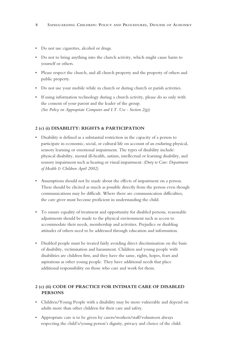- Do not use cigarettes, alcohol or drugs.
- Do not to bring anything into the church activity, which might cause harm to yourself or others.
- Please respect the church, and all church property and the property of others and public property.
- Do not use your mobile while in church or during church or parish activities.
- If using information technology during a church activity, please do so only with the consent of your parent and the leader of the group. *(See Policy on Appropriate Computer and I.T. Use - Section 2(g))*

#### **2 (c) (i) DISABILITY: RIGHTS & PARTICIPATION**

- Disability is defined as a substantial restriction in the capacity of a person to participate in economic, social, or cultural life on account of an enduring physical, sensory learning or emotional impairment. The types of disability include: physical disability, mental ill-health, autism, intellectual or learning disability, and sensory impairment such as hearing or visual impairment. *(Duty to Care: Department of Health & Children April 2002)*
- Assumptions should not be made about the effects of impairment on a person. These should be elicited as much as possible directly from the person even though communications may be difficult. Where there are communication difficulties, the care giver must become proficient in understanding the child.
- To ensure equality of treatment and opportunity for disabled persons, reasonable adjustments should be made to the physical environment such as access to accommodate their needs, membership and activities. Prejudice or disabling attitudes of others need to be addressed through education and information.
- Disabled people must be treated fairly avoiding direct discrimination on the basis of disability, victimisation and harassment. Children and young people with disabilities are children first, and they have the same, rights, hopes, fears and aspirations as other young people. They have additional needs that place additional responsibility on those who care and work for them.

#### **2 (c) (ii) CODE OF PRACTICE FOR INTIMATE CARE OF DISABLED PERSONS**

- Children/Young People with a disability may be more vulnerable and depend on adults more than other children for their care and safety.
- Appropriate care is to be given by carers/workers/staff/volunteers always respecting the child's/young person's dignity, privacy and choice of the child.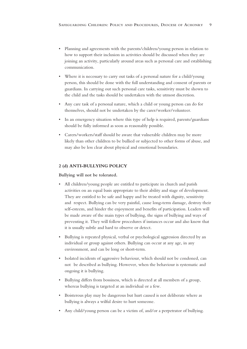- Planning and agreements with the parents/children/young person in relation to how to support their inclusion in activities should be discussed when they are joining an activity, particularly around areas such as personal care and establishing communication.
- Where it is necessary to carry out tasks of a personal nature for a child/young person, this should be done with the full understanding and consent of parents or guardians. In carrying out such personal care tasks, sensitivity must be shown to the child and the tasks should be undertaken with the utmost discretion.
- Any care task of a personal nature, which a child or young person can do for themselves, should not be undertaken by the carer/worker/volunteer.
- In an emergency situation where this type of help is required, parents/guardians should be fully informed as soon as reasonably possible.
- Carers/workers/staff should be aware that vulnerable children may be more likely than other children to be bullied or subjected to other forms of abuse, and may also be less clear about physical and emotional boundaries.

#### **2 (d) ANTI-BULLYING POLICY**

#### **Bullying will not be tolerated.**

- All children/young people are entitled to participate in church and parish activities on an equal basis appropriate to their ability and stage of development. They are entitled to be safe and happy and be treated with dignity, sensitivity and respect. Bullying can be very painful, cause long-term damage, destroy their self-esteem, and hinder the enjoyment and benefits of participation. Leaders will be made aware of the main types of bullying, the signs of bullying and ways of preventing it. They will follow procedures if instances occur and also know that it is usually subtle and hard to observe or detect.
- Bullying is repeated physical, verbal or psychological aggression directed by an individual or group against others. Bullying can occur at any age, in any environment, and can be long or short-term.
- Isolated incidents of aggressive behaviour, which should not be condoned, can not be described as bullying. However, when the behaviour is systematic and ongoing it is bullying.
- Bullying differs from bossiness, which is directed at all members of a group, whereas bullying is targeted at an individual or a few.
- Boisterous play may be dangerous but hurt caused is not deliberate where as bullying is always a wilful desire to hurt someone.
- Any child/young person can be a victim of, and/or a perpetrator of bullying.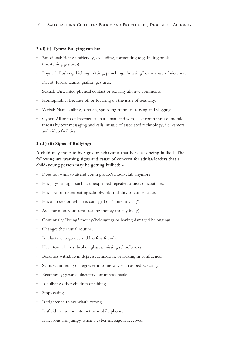#### **2 (d) (i) Types: Bullying can be:**

- Emotional: Being unfriendly, excluding, tormenting (e.g. hiding books, threatening gestures).
- Physical: Pushing, kicking, hitting, punching, "messing" or any use of violence.
- Racist: Racial taunts, graffiti, gestures.
- Sexual: Unwanted physical contact or sexually abusive comments.
- Homophobic: Because of, or focusing on the issue of sexuality.
- Verbal: Name-calling, sarcasm, spreading rumours, teasing and slagging.
- Cyber: All areas of Internet, such as email and web, chat room misuse, mobile threats by text messaging and calls, misuse of associated technology, i.e. camera and video facilities.

#### **2 (d ) (ii) Signs of Bullying:**

**A child may indicate by signs or behaviour that he/she is being bullied. The following are warning signs and cause of concern for adults/leaders that a child/young person may be getting bullied: -**

- Does not want to attend youth group/school/club anymore.
- Has physical signs such as unexplained repeated bruises or scratches.
- Has poor or deteriorating schoolwork, inability to concentrate.
- Has a possession which is damaged or "gone missing".
- Asks for money or starts stealing money (to pay bully).
- Continually "losing" money/belongings or having damaged belongings.
- Changes their usual routine.
- Is reluctant to go out and has few friends.
- Have torn clothes, broken glasses, missing schoolbooks.
- Becomes withdrawn, depressed, anxious, or lacking in confidence.
- Starts stammering or regresses in some way such as bed-wetting.
- Becomes aggressive, disruptive or unreasonable.
- Is bullying other children or siblings.
- Stops eating.
- Is frightened to say what's wrong.
- Is afraid to use the internet or mobile phone.
- Is nervous and jumpy when a cyber message is received.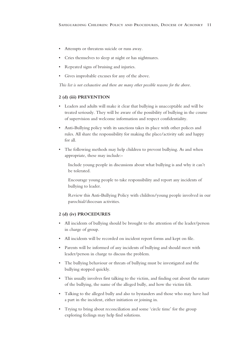- Attempts or threatens suicide or runs away.
- Cries themselves to sleep at night or has nightmares.
- Repeated signs of bruising and injuries.
- Gives improbable excuses for any of the above.

*This list is not exhaustive and there are many other possible reasons for the above.*

#### **2 (d) (iii) PREVENTION**

- Leaders and adults will make it clear that bullying is unacceptable and will be treated seriously. They will be aware of the possibility of bullying in the course of supervision and welcome information and respect confidentiality.
- Anti-Bullying policy with its sanctions takes its place with other polices and rules. All share the responsibility for making the place/activity safe and happy for all.
- The following methods may help children to prevent bullying. As and when appropriate, these may include:-

Include young people in discussions about what bullying is and why it can't be tolerated.

Encourage young people to take responsibility and report any incidents of bullying to leader.

Review this Anti-Bullying Policy with children/young people involved in our parochial/diocesan activities.

#### **2 (d) (iv) PROCEDURES**

- All incidents of bullying should be brought to the attention of the leader/person in charge of group.
- All incidents will be recorded on incident report forms and kept on file.
- Parents will be informed of any incidents of bullying and should meet with leader/person in charge to discuss the problem.
- The bullying behaviour or threats of bullying must be investigated and the bullying stopped quickly.
- This usually involves first talking to the victim, and finding out about the nature of the bullying, the name of the alleged bully, and how the victim felt.
- Talking to the alleged bully and also to bystanders and those who may have had a part in the incident, either initiation or joining in.
- Trying to bring about reconciliation and some 'circle time' for the group exploring feelings may help find solutions.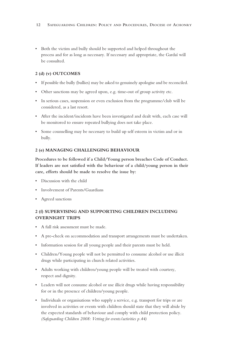• Both the victim and bully should be supported and helped throughout the process and for as long as necessary. If necessary and appropriate, the Gardaí will be consulted.

#### **2 (d) (v) OUTCOMES**

- If possible the bully (bullies) may be asked to genuinely apologise and be reconciled.
- Other sanctions may be agreed upon, e.g. time-out of group activity etc.
- In serious cases, suspension or even exclusion from the programme/club will be considered, as a last resort.
- After the incident/incidents have been investigated and dealt with, each case will be monitored to ensure repeated bullying does not take place.
- Some counselling may be necessary to build up self esteem in victim and or in bully.

#### **2 (e) MANAGING CHALLENGING BEHAVIOUR**

**Procedures to be followed if a Child/Young person breaches Code of Conduct. If leaders are not satisfied with the behaviour of a child/young person in their care, efforts should be made to resolve the issue by:**

- Discussion with the child
- Involvement of Parents/Guardians
- Agreed sanctions

#### **2 (f) SUPERVISING AND SUPPORTING CHILDREN INCLUDING OVERNIGHT TRIPS**

- A full risk assessment must be made.
- A pre-check on accommodation and transport arrangements must be undertaken.
- Information session for all young people and their parents must be held.
- Children/Young people will not be permitted to consume alcohol or use illicit drugs while participating in church related activities.
- Adults working with children/young people will be treated with courtesy, respect and dignity.
- Leaders will not consume alcohol or use illicit drugs while having responsibility for or in the presence of children/young people.
- Individuals or organisations who supply a service, e.g. transport for trips or are involved in activities or events with children should state that they will abide by the expected standards of behaviour and comply with child protection policy. *(Safeguarding Children 2008: Vetting for events/activities p.44)*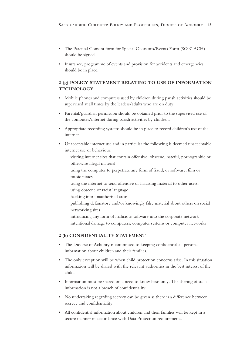- The Parental Consent form for Special Occasions/Events Form (SG07-ACH) should be signed.
- Insurance, programme of events and provision for accidents and emergencies should be in place.

#### **2 (g) POLICY STATEMENT RELATING TO USE OF INFORMATION TECHNOLOGY**

- Mobile phones and computers used by children during parish activities should be supervised at all times by the leaders/adults who are on duty.
- Parental/guardian permission should be obtained prior to the supervised use of the computer/internet during parish activities by children.
- Appropriate recording systems should be in place to record children's use of the internet.
- Unacceptable internet use and in particular the following is deemed unacceptable internet use or behaviour:
	- visiting internet sites that contain offensive, obscene, hateful, pornographic or otherwise illegal material
	- using the computer to perpetrate any form of fraud, or software, film or music piracy
	- using the internet to send offensive or harassing material to other users; using obscene or racist language
	- hacking into unauthorised areas
	- publishing defamatory and/or knowingly false material about others on social networking sites
	- introducing any form of malicious software into the corporate network intentional damage to computers, computer systems or computer networks

#### **2 (h) CONFIDENTIALITY STATEMENT**

- The Diocese of Achonry is committed to keeping confidential all personal information about children and their families.
- The only exception will be when child protection concerns arise. In this situation information will be shared with the relevant authorities in the best interest of the child.
- Information must be shared on a need to know basis only. The sharing of such information is not a breach of confidentiality.
- No undertaking regarding secrecy can be given as there is a difference between secrecy and confidentiality.
- All confidential information about children and their families will be kept in a secure manner in accordance with Data Protection requirements.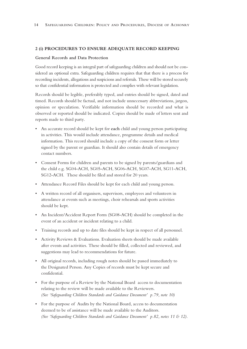#### **2 (i) PROCEDURES TO ENSURE ADEQUATE RECORD KEEPING**

#### **General Records and Data Protection**

Good record keeping is an integral part of safeguarding children and should not be considered an optional extra. Safeguarding children requires that that there is a process for recording incidents, allegations and suspicions and referrals. These will be stored securely so that confidential information is protected and complies with relevant legislation.

Records should be legible, preferably typed, and entries should be signed, dated and timed. Records should be factual, and not include unnecessary abbreviations, jargon, opinion or speculation. Verifiable information should be recorded and what is observed or reported should be indicated. Copies should be made of letters sent and reports made to third party.

- An accurate record should be kept for **each** child and young person participating in activities. This would include attendance, programme details and medical information. This record should include a copy of the consent form or letter signed by the parent or guardian. It should also contain details of emergency contact numbers.
- Consent Forms for children and parents to be signed by parents/guardians and the child e.g. SG04-ACH, SG05-ACH, SG06-ACH, SG07-ACH, SG11-ACH, SG12-ACH. These should be filed and stored for 20 years.
- Attendance Record Files should be kept for each child and young person.
- A written record of all organisers, supervisors, employees and volunteers in attendance at events such as meetings, choir rehearsals and sports activities should be kept.
- An Incident/Accident Report Form (SG08-ACH) should be completed in the event of an accident or incident relating to a child.
- Training records and up to date files should be kept in respect of all personnel.
- Activity Reviews & Evaluations. Evaluation sheets should be made available after events and activities. These should be filled, collected and reviewed, and suggestions may lead to recommendations for future.
- All original records, including rough notes should be passed immediately to the Designated Person. Any Copies of records must be kept secure and confidential.
- For the purpose of a Review by the National Board access to documentation relating to the review will be made available to the Reviewers. *(See 'Safeguarding Children Standards and Guidance Document' p.79, note 10)*
- For the purpose of Audits by the National Board, access to documentation deemed to be of assistance will be made available to the Auditors. *(See 'Safeguarding Children Standards and Guidance Document' p.82, notes 11 & 12).*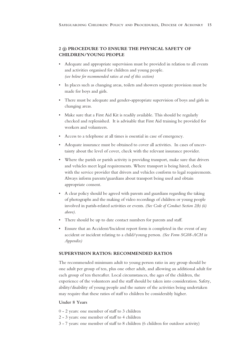#### **2 (j) PROCEDURE TO ENSURE THE PHYSICAL SAFETY OF CHILDREN/YOUNG PEOPLE**

- Adequate and appropriate supervision must be provided in relation to all events and activities organised for children and young people. *(see below for recommended ratios at end of this section)*
- In places such as changing areas, toilets and showers separate provision must be made for boys and girls.
- There must be adequate and gender-appropriate supervision of boys and girls in changing areas.
- Make sure that a First Aid Kit is readily available. This should be regularly checked and replenished. It is advisable that First Aid training be provided for workers and volunteers.
- Access to a telephone at all times is essential in case of emergency.
- Adequate insurance must be obtained to cover all activities. In cases of uncertainty about the level of cover, check with the relevant insurance provider.
- Where the parish or parish activity is providing transport, make sure that drivers and vehicles meet legal requirements. Where transport is being hired, check with the service provider that drivers and vehicles conform to legal requirements. Always inform parents/guardians about transport being used and obtain appropriate consent.
- A clear policy should be agreed with parents and guardians regarding the taking of photographs and the making of video recordings of children or young people involved in parish-related activities or events. *(See Code of Conduct Section 2(b) (ii) above).*
- There should be up to date contact numbers for parents and staff.
- Ensure that an Accident/Incident report form is completed in the event of any accident or incident relating to a child/young person. *(See Form SG08-ACH in Appendix)*

#### **SUPERVISION RATIOS: RECOMMENDED RATIOS**

The recommended minimum adult to young person ratio in any group should be one adult per group of ten, plus one other adult, and allowing an additional adult for each group of ten thereafter. Local circumstances, the ages of the children, the experience of the volunteers and the staff should be taken into consideration. Safety, ability/disability of young people and the nature of the activities being undertaken may require that these ratios of staff to children be considerably higher.

#### **Under 8 Years**

- 0 2 years: one member of staff to 3 children
- 2 3 years: one member of staff to 4 children
- 3 7 years: one member of staff to 8 children (6 children for outdoor activity)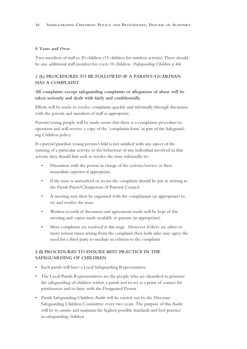#### **8 Years and Over**

Two members of staff to 20 children (15 children for outdoor activity) There should be one additional staff member for every 10 children. *(Safeguarding Children p.44)*

#### **2 (k) PROCEDURES TO BE FOLLOWED IF A PARENT/GUARDIAN HAS A COMPLAINT**

#### **All complaints except safeguarding complaints or allegations of abuse will be taken seriously and dealt with fairly and confidentially.**

Efforts will be made to resolve complaints quickly and informally through discussion with the parents and members of staff as appropriate.

Parents/young people will be made aware that there is a complaints procedure in operation and will receive a copy of the 'complaints form' as part of the Safeguarding Children policy.

If a parent/guardian young person/child is not satisfied with any aspect of the running of a particular activity or the behaviour of any individual involved in that activity they should first seek to resolve the issue informally by:

- Discussion with the person in charge of the activity/service or their immediate superior if appropriate.
- If the issue is unresolved or recurs the complaint should be put in writing to the Parish Priest/Chairperson of Pastoral Council
- A meeting may then be organised with the complainant (as appropriate) to try and resolve the issue.
- Written records of discussion and agreements made will be kept of this meeting and copies made available to parents (as appropriate).
- Most complaints are resolved at this stage. However if there are other or more serious issues arising from the complaint then both sides may agree the need for a third party to mediate in relation to the complaint

#### **2 (l) PROCEDURES TO ENSURE BEST PRACTICE IN THE SAFEGUARDING OF CHILDREN**

- Each parish will have a Local Safeguarding Representative
- The Local/Parish Representatives are the people who are identified to promote the safeguarding of children within a parish and to act as a point of contact for parishioners and to liaise with the Designated Person
- Parish Safeguarding Children Audit will be carried out by the Diocesan Safeguarding Children Committee every two years. The purpose of this Audit will be to ensure and maintain the highest possible standards and best practice in safeguarding children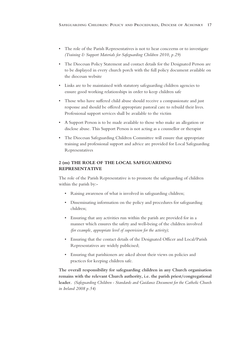- The role of the Parish Representatives is not to hear conceerns or to investigate *(Training & Support Materials for Safeguarding Children 2010, p.29)*
- The Diocesan Policy Statement and contact details for the Designated Person are to be displayed in every church porch with the full policy document available on the diocesan website
- Links are to be maintained with statutory safeguarding children agencies to ensure good working relationships in order to keep children safe
- Those who have suffered child abuse should receive a compassionate and just response and should be offered appropriate pastoral care to rebuild their lives. Professional support services shall be available to the victim
- A Support Person is to be made available to those who make an allegation or disclose abuse. This Support Person is not acting as a counsellor or therapist
- The Diocesan Safeguarding Children Committee will ensure that appropriate training and professional support and advice are provided for Local Safeguarding Representatives

#### **2 (m) THE ROLE OF THE LOCAL SAFEGUARDING REPRESENTATIVE**

The role of the Parish Representative is to promote the safeguarding of children within the parish by:-

- Raising awareness of what is involved in safeguarding children;
- Disseminating information on the policy and procedures for safeguarding children;
- Ensuring that any activities run within the parish are provided for in a manner which ensures the safety and well-being of the children involved *(for example, appropriate level of supervision for the activity)*;
- Ensuring that the contact details of the Designated Officer and Local/Parish Representatives are widely publicised;
- Ensuring that parishioners are asked about their views on policies and practices for keeping children safe.

**The overall responsibility for safeguarding children in any Church organisation remains with the relevant Church authority, i.e. the parish priest/congregational leader.** *(Safeguarding Children - Standards and Guidance Document for the Catholic Church in Ireland 2008 p.54)*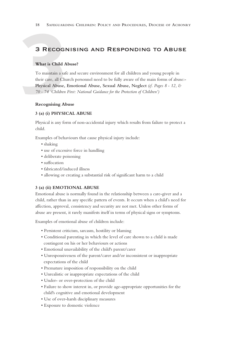### 3 Recognising and Responding to Abuse

#### **What is Child Abuse?**

**3** RECOGI<br>
What is Child A<br>
To maintain a safe their care, all Child Physical Abuse,<br>
70 - 74 'Children To maintain a safe and secure environment for all children and young people in their care, all Church personnel need to be fully aware of the main forms of abuse:- **Physical Abuse, Emotional Abuse, Sexual Abuse, Neglect** *(cf. Pages 8 - 12, & 70 - 74 'Children First: National Guidance for the Protection of Children')*

#### **Recognising Abuse**

#### **3 (a) (i) PHYSICAL ABUSE**

Physical is any form of non-accidental injury which results from failure to protect a child.

Examples of behaviours that cause physical injury include:

- shaking
- use of excessive force in handling
- deliberate poisoning
- suffocation
- fabricated/induced illness
- allowing or creating a substantial risk of significant harm to a child

#### **3 (a) (ii) EMOTIONAL ABUSE**

Emotional abuse is normally found in the relationship between a care-giver and a child, rather than in any specific pattern of events. It occurs when a child's need for affection, approval, consistency and security are not met. Unless other forms of abuse are present, it rarely manifests itself in terms of physical signs or symptoms.

Examples of emotional abuse of children include:

- Persistent criticism, sarcasm, hostility or blaming
- Conditional parenting in which the level of care shown to a child is made contingent on his or her behaviours or actions
- Emotional unavailability of the child's parent/carer
- Unresponsiveness of the parent/carer and/or inconsistent or inappropriate expectations of the child
- Premature imposition of responsibility on the child
- Unrealistic or inappropriate expectations of the child
- Under- or over-protection of the child
- Failure to show interest in, or provide age-appropriate opportunities for the child's cognitive and emotional development
- Use of over-harsh disciplinary measures
- Exposure to domestic violence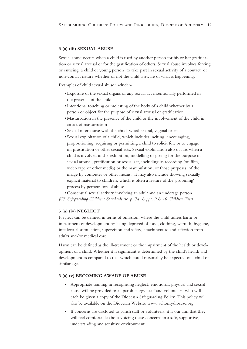#### **3 (a) (iii) SEXUAL ABUSE**

Sexual abuse occurs when a child is used by another person for his or her gratification or sexual arousal or for the gratification of others. Sexual abuse involves forcing or enticing a child or young person to take part in sexual activity of a contact or non-contact nature whether or not the child is aware of what is happening.

Examples of child sexual abuse include:-

- Exposure of the sexual organs or any sexual act intentionally performed in the presence of the child
- •Intentional touching or molesting of the body of a child whether by a person or object for the purpose of sexual arousal or gratification
- Masturbation in the presence of the child or the involvement of the child in an act of masturbation
- Sexual intercourse with the child, whether oral, vaginal or anal
- Sexual exploitation of a child, which includes inciting, encouraging, propositioning, requiring or permitting a child to solicit for, or to engage in, prostitution or other sexual acts. Sexual exploitation also occurs when a child is involved in the exhibition, modelling or posing for the purpose of sexual arousal, gratification or sexual act, including its recording (on film, video tape or other media) or the manipulation, or those purposes, of the image by computer or other means. It may also include showing sexually explicit material to children, which is often a feature of the 'grooming' process by perpetrators of abuse

• Consensual sexual activity involving an adult and an underage person *(Cf. Safeguarding Children: Standards etc. p. 74 & pps. 9 & 10 Children First)*

#### **3 (a) (iv) NEGLECT**

Neglect can be defined in terms of omission, where the child suffers harm or impairment of development by being deprived of food, clothing, warmth, hygiene, intellectual stimulation, supervision and safety, attachment to and affection from adults and/or medical care.

Harm can be defined as the ill-treatment or the impairment of the health or development of a child. Whether it is significant is determined by the child's health and development as compared to that which could reasonably be expected of a child of similar age.

#### **3 (a) (v) BECOMING AWARE OF ABUSE**

- Appropriate training in recognising neglect, emotional, physical and sexual abuse will be provided to all parish clergy, staff and volunteers, who will each be given a copy of the Diocesan Safeguarding Policy. This policy will also be available on the Diocesan Website www.achonrydiocese.org.
- If concerns are disclosed to parish staff or volunteers, it is our aim that they will feel comfortable about voicing these concerns in a safe, supportive, understanding and sensitive environment.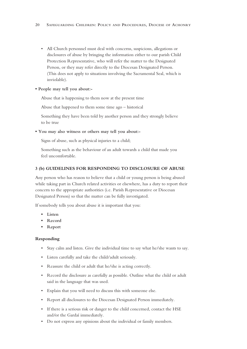- All Church personnel must deal with concerns, suspicions, allegations or disclosures of abuse by bringing the information either to our parish Child Protection Representative, who will refer the matter to the Designated Person, or they may refer directly to the Diocesan Designated Person. (This does not apply to situations involving the Sacramental Seal, which is inviolable).
- **• People may tell you about:-**

Abuse that is happening to them now at the present time

Abuse that happened to them some time ago – historical

Something they have been told by another person and they strongly believe to be true

**• You may also witness or others may tell you about:-**

Signs of abuse, such as physical injuries to a child;

Something such as the behaviour of an adult towards a child that made you feel uncomfortable.

#### **3 (b) GUIDELINES FOR RESPONDING TO DISCLOSURE OF ABUSE**

Any person who has reason to believe that a child or young person is being abused while taking part in Church related activities or elsewhere, has a duty to report their concern to the appropriate authorities (i.e. Parish Representative or Diocesan Designated Person) so that the matter can be fully investigated.

If somebody tells you about abuse it is important that you:

- **• Listen**
- **• Record**
- **• Report**

#### **Responding**

- Stay calm and listen. Give the individual time to say what he/she wants to say.
- Listen carefully and take the child/adult seriously.
- Reassure the child or adult that he/she is acting correctly.
- Record the disclosure as carefully as possible. Outline what the child or adult said in the language that was used.
- Explain that you will need to discuss this with someone else.
- Report all disclosures to the Diocesan Designated Person immediately.
- If there is a serious risk or danger to the child concerned, contact the HSE and/or the Gardaí immediately.
- Do not express any opinions about the individual or family members.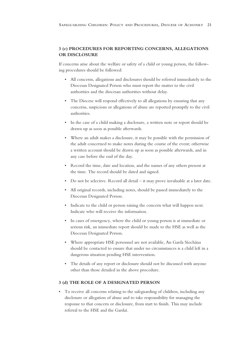#### **3 (c) PROCEDURES FOR REPORTING CONCERNS, ALLEGATIONS OR DISCLOSURE**

If concerns arise about the welfare or safety of a child or young person, the following procedures should be followed:

- All concerns, allegations and disclosures should be referred immediately to the Diocesan Designated Person who must report the matter to the civil authorities and the diocesan authorities without delay.
- The Diocese will respond effectively to all allegations by ensuring that any concerns, suspicions or allegations of abuse are reported promptly to the civil authorities.
- In the case of a child making a disclosure, a written note or report should be drawn up as soon as possible afterwards.
- Where an adult makes a disclosure, it may be possible with the permission of the adult concerned to make notes during the course of the event; otherwise a written account should be drawn up as soon as possible afterwards, and in any case before the end of the day.
- Record the time, date and location, and the names of any others present at the time. The record should be dated and signed.
- Do not be selective. Record all detail it may prove invaluable at a later date.
- All original records, including notes, should be passed immediately to the Diocesan Designated Person.
- Indicate to the child or person raising the concern what will happen next. Indicate who will receive the information.
- In cases of emergency, where the child or young person is at immediate or serious risk, an immediate report should be made to the HSE as well as the Diocesan Designated Person.
- Where appropriate HSE personnel are not available, An Garda Síochána should be contacted to ensure that under no circumstances is a child left in a dangerous situation pending HSE intervention.
- The details of any report or disclosure should not be discussed with anyone other than those detailed in the above procedure.

#### **3 (d) THE ROLE OF A DESIGNATED PERSON**

• To receive all concerns relating to the safeguarding of children, including any disclosure or allegation of abuse and to take responsibility for managing the response to that concern or disclosure, from start to finish. This may include referral to the HSE and the Gardaí.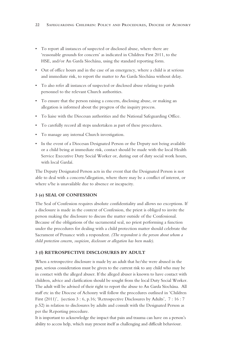- To report all instances of suspected or disclosed abuse, where there are 'reasonable grounds for concern' as indicated in Children First 2011, to the HSE, and/or An Garda Síochána, using the standard reporting form.
- Out of office hours and in the case of an emergency, where a child is at serious and immediate risk, to report the matter to An Garda Síochána without delay.
- To also refer all instances of suspected or disclosed abuse relating to parish personnel to the relevant Church authorities.
- To ensure that the person raising a concern, disclosing abuse, or making an allegation is informed about the progress of the inquiry process.
- To liaise with the Diocesan authorities and the National Safeguarding Office.
- To carefully record all steps undertaken as part of these procedures.
- To manage any internal Church investigation.
- In the event of a Diocesan Designated Person or the Deputy not being available or a child being at immediate risk, contact should be made with the local Health Service Executive Duty Social Worker or, during out of duty social work hours, with local Gardaí.

The Deputy Designated Person acts in the event that the Designated Person is not able to deal with a concern/allegation, where there may be a conflict of interest, or where s/he is unavailable due to absence or incapacity.

#### **3 (e) SEAL OF CONFESSION**

The Seal of Confession requires absolute confidentiality and allows no exceptions. If a disclosure is made in the context of Confession, the priest is obliged to invite the person making the disclosure to discuss the matter outside of the Confessional. Because of the obligations of the sacramental seal, no priest performing a function under the procedures for dealing with a child protection matter should celebrate the Sacrament of Penance with a respondent. *(The respondent is the person about whom a child protection concern, suspicion, disclosure or allegation has been made)*.

#### **3 (f) RETROSPECTIVE DISCLOSURES BY ADULT**

When a retrospective disclosure is made by an adult that he/she were abused in the past, serious consideration must be given to the current risk to any child who may be in contact with the alleged abuser. If the alleged abuser is known to have contact with children, advice and clarification should be sought from the local Duty Social Worker. The adult will be advised of their right to report the abuse to An Garda Síochána. All staff etc in the Diocese of Achonry will follow the procedures outlined in 'Children First (2011)', (section 3 : 6, p.16; 'Retrospective Disclosures by Adults', 7 : 16 : 7 p.52) in relation to disclosures by adults and consult with the Designated Person as per the Reporting procedure.

It is important to acknowledge the impact that pain and trauma can have on a person's ability to access help, which may present itself as challenging and difficult behaviour.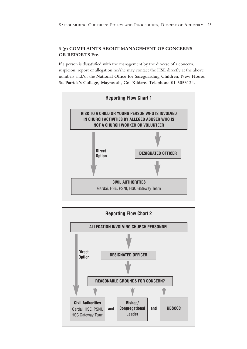#### **3 (g) COMPLAINTS ABOUT MANAGEMENT OF CONCERNS OR REPORTS Etc.**

If a person is dissatisfied with the management by the diocese of a concern, suspicion, report or allegation he/she may contact the HSE directly at the above numbers and/or the **National Office for Safeguarding Children, New House, St. Patrick's College, Maynooth, Co. Kildare. Telephone 01-5053124.**



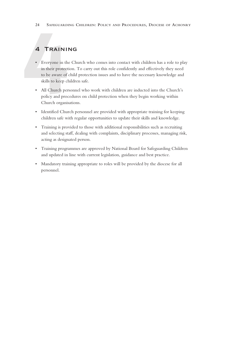## 4 Training

- 24 SAFEGUARDI<br> **4 TRAINII**<br>
 Everyone in the<br>
in their protective to be aware of<br>
skills to keep ch<br>
 All Church perposition • Everyone in the Church who comes into contact with children has a role to play in their protection. To carry out this role confidently and effectively they need to be aware of child protection issues and to have the necessary knowledge and skills to keep children safe.
	- All Church personnel who work with children are inducted into the Church's policy and procedures on child protection when they begin working within Church organisations.
	- Identified Church personnel are provided with appropriate training for keeping children safe with regular opportunities to update their skills and knowledge.
	- Training is provided to those with additional responsibilities such as recruiting and selecting staff, dealing with complaints, disciplinary processes, managing risk, acting as designated person.
	- Training programmes are approved by National Board for Safeguarding Children and updated in line with current legislation, guidance and best practice.
	- Mandatory training appropriate to roles will be provided by the diocese for all personnel.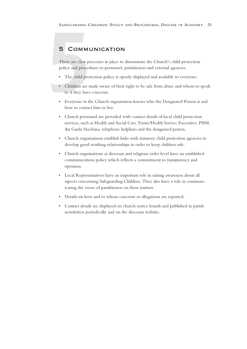## 5 Communication

SAFEGUARDING C<br>
5 COMMU<br>
There are clear pr<br>
policy and proced<br>
• The child prot<br>
• Children are m<br>
to if they have There are clear processes in place to disseminate the Church's child protection policy and procedures to personnel, parishioners and external agencies.

- The child protection policy is openly displayed and available to everyone.
- Children are made aware of their right to be safe from abuse and whom to speak to if they have concerns.
- Everyone in the Church organisation knows who the Designated Person is and how to contact him or her.
- Church personnel are provided with contact details of local child protection services, such as Health and Social Care Trusts/Health Service Executive, PSNI, An Garda Síochána, telephone helplines and the designated person.
- Church organisations establish links with statutory child protection agencies to develop good working relationships in order to keep children safe.
- Church organisations at diocesan and religious order level have an established communications policy which reflects a commitment to transparency and openness.
- Local Representatives have an important role in raising awareness about all aspects concerning Safeguarding Children. They also have a role in communicating the views of parishioners on these matters.
- Details on how and to whom concerns or allegations are reported.
- Contact details are displayed on church notice boards and published in parish newsletters periodically and on the diocesan website.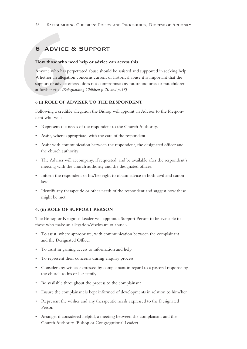### 6 Advice & Support

#### **How those who need help or advice can access this**

**6 ADVICE**<br>**How those who r**<br>Anyone who has po<br>Whether an allegative support or advice of<br>at further risk. (Safe<br>6 (i) ROLE OF A<br>Following a credibl Anyone who has perpetrated abuse should be assisted and supported in seeking help. Whether an allegation concerns current or historical abuse it is important that the support or advice offered does not compromise any future inquiries or put children at further risk. *(Safeguarding Children p.20 and p.58)*

#### **6 (i) ROLE OF ADVISER TO THE RESPONDENT**

Following a credible allegation the Bishop will appoint an Adviser to the Respondent who will:-

- Represent the needs of the respondent to the Church Authority.
- Assist, where appropriate, with the care of the respondent.
- Assist with communication between the respondent, the designated officer and the church authority.
- The Adviser will accompany, if requested, and be available after the respondent's meeting with the church authority and the designated officer.
- Inform the respondent of his/her right to obtain advice in both civil and canon law.
- Identify any therapeutic or other needs of the respondent and suggest how these might be met.

#### **6. (ii) ROLE OF SUPPORT PERSON**

The Bishop or Religious Leader will appoint a Support Person to be available to those who make an allegation/disclosure of abuse:-

- To assist, where appropriate, with communication between the complainant and the Designated Officer
- To assist in gaining access to information and help
- To represent their concerns during enquiry process
- Consider any wishes expressed by complainant in regard to a pastoral response by the church to his or her family
- Be available throughout the process to the complainant
- Ensure the complainant is kept informed of developments in relation to him/her
- Represent the wishes and any therapeutic needs expressed to the Designated Person
- Arrange, if considered helpful, a meeting between the complainant and the Church Authority (Bishop or Congregational Leader)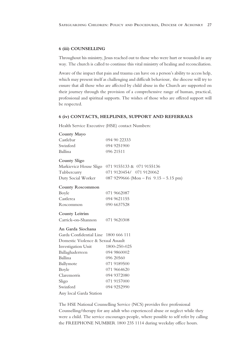#### **6 (iii) COUNSELLING**

Throughout his ministry, Jesus reached out to those who were hurt or wounded in any way. The church is called to continue this vital ministry of healing and reconciliation.

Aware of the impact that pain and trauma can have on a person's ability to access help, which may present itself as challenging and difficult behaviour, the diocese will try to ensure that all those who are affected by child abuse in the Church are supported on their journey through the provision of a comprehensive range of human, practical, professional and spiritual supports. The wishes of those who are offered support will be respected.

#### **6 (iv) CONTACTS, HELPLINES, SUPPORT AND REFERRALS**

Health Service Executive (HSE) contact Numbers:

| County Mayo                          |                                          |
|--------------------------------------|------------------------------------------|
| Castlebar                            | 094 90 22333                             |
| Swinford                             | 094 9251900                              |
| Ballina                              | 096 21511                                |
| County Sligo                         |                                          |
| Markievicz House Sligo               | 071 9155133 & 071 9155136                |
| Tubbercurry                          | 071 9120454/ 071 9120062                 |
| Duty Social Worker                   | 087 9299666 (Mon - Fri $9.15 - 5.15$ pm) |
| <b>County Roscommon</b>              |                                          |
| Boyle                                | 071 9662087                              |
| Castlerea                            | 094 9621155                              |
| Roscommon                            | 090 6637528                              |
| County Leitrim                       |                                          |
| Carrick-on-Shannon                   | 071 9620308                              |
| An Garda Siochana                    |                                          |
| Garda Confidential Line 1800 666 111 |                                          |
| Domestic Violence & Sexual Assault   |                                          |
| Investigation Unit                   | 1800-250-025                             |
| Ballaghaderreen                      | 094 9860002                              |
| Ballina                              | 096 20560                                |
| Ballymote                            | 071 9189500                              |
| Boyle                                | 071 9664620                              |
| Claremorris                          | 094 9372080                              |
| Sligo                                | 071 9157000                              |
| Swinford                             | 094 9252990                              |
| Any local Garda Station              |                                          |

The HSE National Counselling Service (NCS) provides free professional Counselling/therapy for any adult who experienced abuse or neglect while they were a child. The service encourages people, where possible to self refer by calling the FREEPHONE NUMBER 1800 235 1114 during weekday office hours.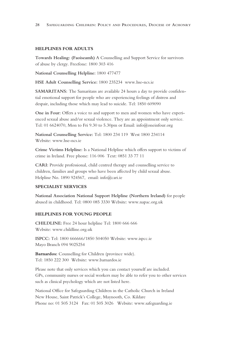#### **HELPLINES FOR ADULTS**

**Towards Healing: (Faoiseamh)** A Counselling and Support Service for survivors of abuse by clergy. Freefone: 1800 303 416

**National Counselling Helpline:** 1800 477477

**HSE Adult Counselling Service:** 1800 235234 www.hse-ncs.ie

**SAMARITANS:** The Samaritans are available 24 hours a day to provide confidential emotional support for people who are experiencing feelings of distress and despair, including those which may lead to suicide. Tel: 1850 609090

**One in Four:** Offers a voice to and support to men and women who have experienced sexual abuse and/or sexual violence. They are an appointment only service. Tel: 01 6624070, Mon to Fri 9.30 to 5.30pm or Email: info@oneinfour.org

**National Counselling Service:** Tel: 1800 234 119 West 1800 234114 Website: www.hse-ncs.ie

**Crime Victims Helpline:** Is a National Helpline which offers support to victims of crime in Ireland. Free phone: 116 006 Text: 0851 33 77 11

**CARI:** Provide professional, child centred therapy and counselling service to children, families and groups who have been affected by child sexual abuse. Helpline No. 1890 924567, email: info@cari.ie

#### **SPECIALIST SERVICES**

**National Association National Support Helpline (Northern Ireland)** for people abused in childhood. Tel: 0800 085 3330 Website: www.napac.org.uk

#### **HELPLINES FOR YOUNG PEOPLE**

**CHILDLINE:** Free 24 hour helpline Tel: 1800 666 666 Website: www.childline.org.uk

**ISPCC:** Tel: 1800 666666/1850 504050 Website: www.ispcc.ie Mayo Branch 094 9025254

**Barnardos:** Counselling for Children (province wide). Tel: 1850 222 300 Website: www.barnardos.ie

Please note that only services which you can contact yourself are included. GPs, community nurses or social workers may be able to refer you to other services such as clinical psychology which are not listed here.

National Office for Safeguarding Children in the Catholic Church in Ireland New House, Saint Patrick's College, Maynooth, Co. Kildare Phone no: 01 505 3124 Fax: 01 505 3026 Website: www.safeguarding.ie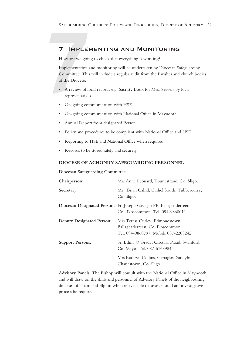### 7 Implementing and Monitoring

How are we going to check that everything is working?

SAFEGUARDING C<br> **7** IMPLEI<br>
How are we goir<br>
Implementation a<br>
Committee. This<br>
of the Diocese:<br>
A review of Id Implementation and monitoring will be undertaken by Diocesan Safeguarding Committee. This will include a regular audit from the Parishes and church bodies of the Diocese:

- A review of local records e.g. Sacristy Book for Mass Servers by local representatives
- On-going communication with HSE
- On-going communication with National Office in Maynooth.
- Annual Report from designated Person
- Policy and procedures to be compliant with National Office and HSE
- Reporting to HSE and National Office when required
- Records to be stored safely and securely

#### **DIOCESE OF ACHONRY SAFEGUARDING PERSONNEL**

**Diocesan Safeguarding Committee**

| Chairperson:              | Mrs Anne Leonard, Tourlestrane, Co. Sligo.                                                                 |
|---------------------------|------------------------------------------------------------------------------------------------------------|
| Secretary:                | Mr. Brian Cahill, Cashel South, Tubbercurry,<br>Co. Sligo.                                                 |
|                           | Diocesan Designated Person. Fr. Joseph Gavigan PP, Ballaghaderreen,<br>Co. Roscommon. Tel. 094-9860011     |
| Deputy Designated Person: | Mrs Teresa Curley, Edmondstown,<br>Ballaghaderreen, Co. Roscommon.<br>Tel. 094-9860797, Mobile 087-2208242 |
| <b>Support Persons:</b>   | Sr. Ethna O'Grady, Circular Road, Swinford,<br>Co. Mayo. Tel. 087-6168984                                  |
|                           | Mrs Kathryn Collins, Garraglas, Sandyhill,<br>Charlestown, Co. Sligo.                                      |

**Advisory Panels:** The Bishop will consult with the National Office in Maynooth and will draw on the skills and personnel of Advisory Panels of the neighbouring dioceses of Tuam and Elphin who are available to assist should an investigative process be required.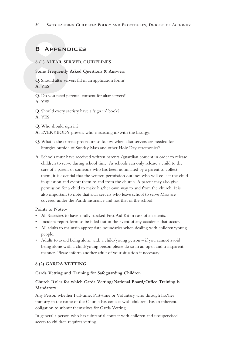### 8 Appendices

#### **8 (1) ALTAR SERVER GUIDELINES**

#### **Some Frequently Asked Questions & Answers**

**Q.** Should altar servers fill in an application form? **A.** YES

**8 APPEND**<br>8 (1) ALTAR SER<br>Some Frequently A<br>Q. Should altar serve<br>A. YES<br>Q. Do you need par<br>A. YES **Q.** Do you need parental consent for altar servers? **A.** YES

**Q.** Should every sacristy have a 'sign in' book?

**A.** YES

**Q.**Who should sign in?

**A.** EVERYBODY present who is assisting in/with the Liturgy.

- **Q.**What is the correct procedure to follow when altar servers are needed for liturgies outside of Sunday Mass and other Holy Day ceremonies?
- **A.** Schools must have received written parental/guardian consent in order to release children to serve during school time. As schools can only release a child to the care of a parent or someone who has been nominated by a parent to collect them, it is essential that the written permission outlines who will collect the child in question and escort them to and from the church. A parent may also give permission for a child to make his/her own way to and from the church. It is also important to note that altar servers who leave school to serve Mass are covered under the Parish insurance and not that of the school.

#### **Points to Note:-**

- All Sacristies to have a fully stocked First Aid Kit in case of accidents. .
- Incident report form to be filled out in the event of any accidents that occur.
- All adults to maintain appropriate boundaries when dealing with children/young people.
- Adults to avoid being alone with a child/young person if you cannot avoid being alone with a child/young person please do so in an open and transparent manner. Please inform another adult of your situation if necessary.

#### **8 (2) GARDA VETTING**

#### **Garda Vetting and Training for Safeguarding Children**

#### **Church Roles for which Garda Vetting/National Board/Office Training is Mandatory**

Any Person whether Full-time, Part-time or Voluntary who through his/her ministry in the name of the Church has contact with children, has an inherent obligation to submit themselves for Garda Vetting.

In general a person who has substantial contact with children and unsupervised access to children requires vetting.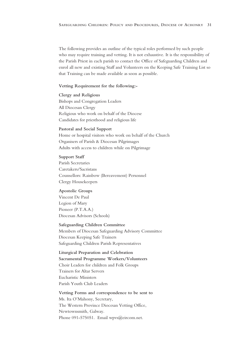The following provides an outline of the typical roles performed by such people who may require training and vetting. It is not exhaustive. It is the responsibility of the Parish Priest in each parish to contact the Office of Safeguarding Children and enrol all new and existing Staff and Volunteers on the Keeping Safe Training List so that Training can be made available as soon as possible.

#### **Vetting Requirement for the following:-**

**Clergy and Religious** Bishops and Congregation Leaders All Diocesan Clergy Religious who work on behalf of the Diocese Candidates for priesthood and religious life

#### **Pastoral and Social Support**

Home or hospital visitors who work on behalf of the Church Organisers of Parish & Diocesan Pilgrimages Adults with access to children while on Pilgrimage

#### **Support Staff**

Parish Secretaries Caretakers/Sacristans Counsellors: Rainbow (Bereavement) Personnel Clergy Housekeepers

#### **Apostolic Groups**

Vincent De Paul Legion of Mary Pioneer (P.T.A.A.) Diocesan Advisors (Schools)

#### **Safeguarding Children Committee**

Members of Diocesan Safeguarding Advisory Committee Diocesan Keeping Safe Trainers Safeguarding Children Parish Representatives

**Liturgical Preparation and Celebration Sacramental Programme Workers/Volunteers** Choir Leaders for children and Folk Groups Trainers for Altar Servers Eucharistic Ministers Parish Youth Club Leaders

**Vetting Forms and correspondence to be sent to** Ms. Ita O'Mahony, Secretary, The Western Province Diocesan Vetting Office, Newtownsmith, Galway. Phone 091-575051. Email wpvs@eircom.net.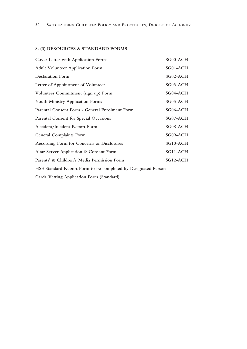### **8. (3) RESOURCES & STANDARD FORMS**

| Cover Letter with Application Forms                           | SG00-ACH   |  |
|---------------------------------------------------------------|------------|--|
| <b>Adult Volunteer Application Form</b>                       | SG01-ACH   |  |
| <b>Declaration Form</b>                                       | SG02-ACH   |  |
| Letter of Appointment of Volunteer                            | SG03-ACH   |  |
| Volunteer Commitment (sign up) Form                           | SG04-ACH   |  |
| <b>Youth Ministry Application Forms</b>                       | $SG05-ACH$ |  |
| Parental Consent Form - General Enrolment Form                | SG06-ACH   |  |
| Parental Consent for Special Occasions                        | SG07-ACH   |  |
| Accident/Incident Report Form                                 | SG08-ACH   |  |
| <b>General Complaints Form</b>                                | SG09-ACH   |  |
| Recording Form for Concerns or Disclosures                    | SG10-ACH   |  |
| Altar Server Application & Consent Form                       | SG11-ACH   |  |
| Parents' & Children's Media Permission Form                   | SG12-ACH   |  |
| HSE Standard Report Form to be completed by Designated Person |            |  |

**Garda Vetting Application Form (Standard)**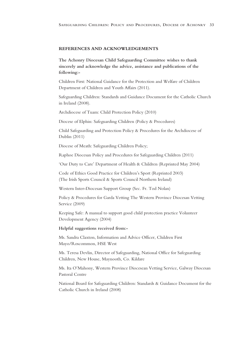#### **REFERENCES AND ACKNOWLEDGEMENTS**

**The Achonry Diocesan Child Safeguarding Committee wishes to thank sincerely and acknowledge the advice, assistance and publications of the following:-**

Children First: National Guidance for the Protection and Welfare of Children Department of Children and Youth Affairs (2011).

Safeguarding Children: Standards and Guidance Document for the Catholic Church in Ireland (2008).

Archdiocese of Tuam: Child Protection Policy (2010)

Diocese of Elphin: Safeguarding Children (Policy & Procedures)

Child Safeguarding and Protection Policy & Procedures for the Archdiocese of Dublin (2011)

Diocese of Meath: Safeguarding Children Policy;

Raphoe Diocesan Policy and Procedures for Safeguarding Children (2011)

'Our Duty to Care' Department of Health & Children (Reprinted May 2004)

Code of Ethics Good Practice for Children's Sport (Reprinted 2003) (The Irish Sports Council & Sports Council Northern Ireland)

Western Inter-Diocesan Support Group (Sec. Fr. Tod Nolan)

Policy & Procedures for Garda Vetting The Western Province Diocesan Vetting Service (2009)

Keeping Safe: A manual to support good child protection practice Volunteer Development Agency (2004)

#### **Helpful suggestions received from:-**

Ms. Sandra Claxton, Information and Advice Officer, Children First Mayo/Roscommon, HSE West

Ms. Teresa Devlin, Director of Safeguarding, National Office for Safeguarding Children, New House, Maynooth, Co. Kildare

Ms. Ita O'Mahony, Western Province Diocesean Vetting Service, Galway Diocesan Pastoral Centre

National Board for Safeguarding Children: Standards & Guidance Document for the Catholic Church in Ireland (2008)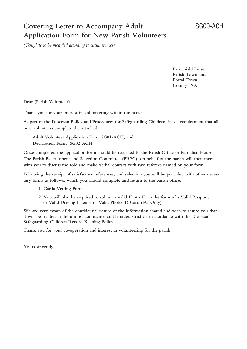## **Covering Letter to Accompany Adult** SG00-ACH **Application Form for New Parish Volunteers**

*(Template to be modified according to circumstances)*

**Parochial House Parish Townland Postal Town County XX**

**Dear (Parish Volunteer).**

**Thank you for your interest in volunteering within the parish.**

**As part of the Diocesan Policy and Procedures for Safeguarding Children, it is a requirement that all new volunteers complete the attached**

**Adult Volunteer Application Form SG01-ACH, and Declaration Form SG02-ACH.**

**Once completed the application form should be returned to the Parish Office or Parochial House. The Parish Recruitment and Selection Committee (PRSC), on behalf of the parish will then meet with you to discuss the role and make verbal contact with two referees named on your form.**

**Following the receipt of satisfactory references, and selection you will be provided with other necessary forms as follows, which you should complete and return to the parish office:**

**1. Garda Vetting Form**

\_\_\_\_\_\_\_\_\_\_\_\_\_\_\_\_\_\_\_\_\_\_\_\_\_\_\_\_\_\_\_\_\_\_\_

**2. You will also be required to submit a valid Photo ID in the form of a Valid Passport, or Valid Driving Licence or Valid Photo ID Card (EU Only).**

**We are very aware of the confidential nature of the information shared and wish to assure you that it will be treated in the utmost confidence and handled strictly in accordance with the Diocesan Safeguarding Children Record Keeping Policy.**

**Thank you for your co-operation and interest in volunteering for the parish.**

**Yours sincerely,**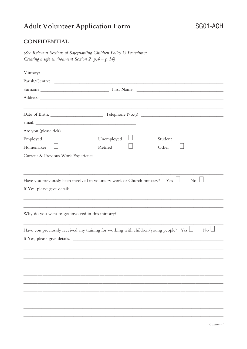## **Adult Volunteer Application Form**

### **CONFIDENTIAL**

(See Relevant Sections of Safeguarding Children Policy & Procedures: Creating a safe environment Section 2  $p.4 - p.14$ )

| Ministry:                          |                                                                                                                                 |
|------------------------------------|---------------------------------------------------------------------------------------------------------------------------------|
|                                    |                                                                                                                                 |
|                                    |                                                                                                                                 |
|                                    |                                                                                                                                 |
|                                    |                                                                                                                                 |
|                                    |                                                                                                                                 |
|                                    |                                                                                                                                 |
| Are you (please tick)              |                                                                                                                                 |
| Employed                           | Unemployed<br>Student                                                                                                           |
| Homemaker                          | Retired<br>Other                                                                                                                |
| Current & Previous Work Experience |                                                                                                                                 |
|                                    |                                                                                                                                 |
|                                    |                                                                                                                                 |
|                                    | Have you previously been involved in voluntary work or Church ministry? Yes $\Box$<br>$\overline{N_0}$ $\overline{\phantom{a}}$ |
|                                    |                                                                                                                                 |
|                                    |                                                                                                                                 |
|                                    |                                                                                                                                 |
|                                    | Why do you want to get involved in this ministry? _______________________________                                               |
|                                    |                                                                                                                                 |
|                                    | Have you previously received any training for working with children/young people? Yes $\Box$<br>$\overline{N_{0}}$              |
|                                    | If Yes, please give details.                                                                                                    |
|                                    |                                                                                                                                 |
|                                    |                                                                                                                                 |
|                                    |                                                                                                                                 |
|                                    |                                                                                                                                 |
|                                    |                                                                                                                                 |
|                                    |                                                                                                                                 |
|                                    |                                                                                                                                 |
|                                    |                                                                                                                                 |
|                                    |                                                                                                                                 |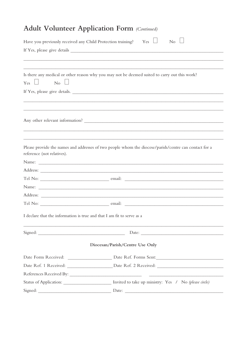|                            | Have you previously received any Child Protection training? $Yes \Box$<br>$\overline{N_0}$            |  |
|----------------------------|-------------------------------------------------------------------------------------------------------|--|
|                            |                                                                                                       |  |
|                            |                                                                                                       |  |
|                            |                                                                                                       |  |
| $Yes \Box$ No $\Box$       | Is there any medical or other reason why you may not be deemed suited to carry out this work?         |  |
|                            | If Yes, please give details.                                                                          |  |
|                            |                                                                                                       |  |
|                            |                                                                                                       |  |
|                            |                                                                                                       |  |
|                            |                                                                                                       |  |
|                            |                                                                                                       |  |
|                            |                                                                                                       |  |
| reference (not relatives). | Please provide the names and addresses of two people whom the diocese/parish/centre can contact for a |  |
|                            |                                                                                                       |  |
|                            |                                                                                                       |  |
|                            |                                                                                                       |  |
|                            |                                                                                                       |  |
|                            |                                                                                                       |  |
|                            |                                                                                                       |  |
|                            | I declare that the information is true and that I am fit to serve as a                                |  |
|                            |                                                                                                       |  |
|                            |                                                                                                       |  |
|                            | Diocesan/Parish/Centre Use Only                                                                       |  |
|                            |                                                                                                       |  |
|                            |                                                                                                       |  |
|                            |                                                                                                       |  |
|                            | Invited to take up ministry: Yes / No (please circle)                                                 |  |

## **Adult Volunteer Application Form (Continued)**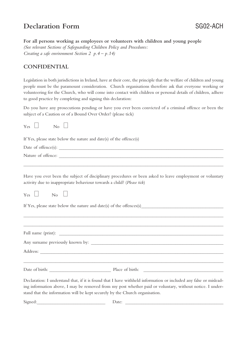## **Declaration Form** SG02-ACH

**For all persons working as employees or volunteers with children and young people** *(See relevant Sections of Safeguarding Children Policy and Procedures: Creating a safe environment Section 2 p.4 – p.14)*

### **CONFIDENTIAL**

Legislation in both jurisdictions in Ireland, have at their core, the principle that the welfare of children and young people must be the paramount consideration. Church organisations therefore ask that everyone working or volunteering for the Church, who will come into contact with children or personal details of children, adhere to good practice by completing and signing this declaration:

Do you have any prosecutions pending or have you ever been convicted of a criminal offence or been the subject of a Caution or of a Bound Over Order? (please tick)

| Yes<br>No |                                                                                                                                                                                                                                                                                                               |
|-----------|---------------------------------------------------------------------------------------------------------------------------------------------------------------------------------------------------------------------------------------------------------------------------------------------------------------|
|           | If Yes, please state below the nature and date(s) of the offence(s)                                                                                                                                                                                                                                           |
|           |                                                                                                                                                                                                                                                                                                               |
|           |                                                                                                                                                                                                                                                                                                               |
|           | Have you ever been the subject of disciplinary procedures or been asked to leave employment or voluntary<br>activity due to inappropriate behaviour towards a child? (Please tick)                                                                                                                            |
| Yes<br>No |                                                                                                                                                                                                                                                                                                               |
|           |                                                                                                                                                                                                                                                                                                               |
|           |                                                                                                                                                                                                                                                                                                               |
|           | Full name (print):                                                                                                                                                                                                                                                                                            |
|           |                                                                                                                                                                                                                                                                                                               |
|           |                                                                                                                                                                                                                                                                                                               |
|           |                                                                                                                                                                                                                                                                                                               |
|           | Declaration: I understand that, if it is found that I have withheld information or included any false or mislead-<br>ing information above, I may be removed from my post whether paid or voluntary, without notice. I under-<br>stand that the information will be kept securely by the Church organisation. |
| Signed:   | Date:                                                                                                                                                                                                                                                                                                         |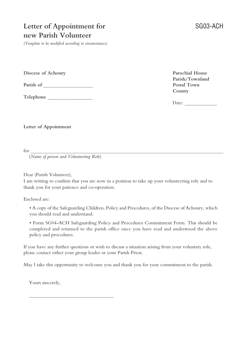## **Letter of Appointment for** SG03-ACH **new Parish Volunteer**

*(Template to be modified according to circumstances)*

**Diocese of Achonry Parochial House**

**Parish of** \_\_\_\_\_\_\_\_\_\_\_\_\_\_\_\_\_\_\_\_ **Postal Town**

**Telephone** \_\_\_\_\_\_\_\_\_\_\_\_\_\_\_\_\_\_

**Parish/Townland County**

Date:  $\qquad \qquad$ 

**Letter of Appointment**

 $for \_\_$ 

(*Name of person and Volunteering Role*)

Dear (Parish Volunteer),

I am writing to confirm that you are now in a position to take up your volunteering role and to thank you for your patience and co-operation.

Enclosed are:

• A copy of the Safeguarding Children, Policy and Procedures, of the Diocese of Achonry, which you should read and understand.

• Form SG04-ACH Safeguarding Policy and Procedures Commitment Form. This should be completed and returned to the parish office once you have read and understood the above policy and procedures.

If you have any further questions or wish to discuss a situation arising from your voluntary role, please contact either your group leader or your Parish Priest.

May I take this opportunity to welcome you and thank you for your commitment to the parish.

Yours sincerely,

\_\_\_\_\_\_\_\_\_\_\_\_\_\_\_\_\_\_\_\_\_\_\_\_\_\_\_\_\_\_\_\_\_\_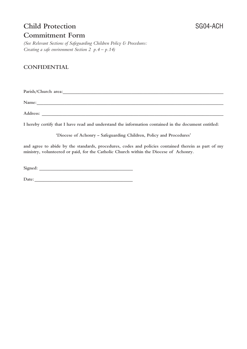## **Child Protection** SG04-ACH **Commitment Form**

*(See Relevant Sections of Safeguarding Children Policy & Procedures: Creating a safe environment Section 2 p.4 – p.14)*

### **CONFIDENTIAL**

Parish/Church area:

**Name:\_\_\_\_\_\_\_\_\_\_\_\_\_\_\_\_\_\_\_\_\_\_\_\_\_\_\_\_\_\_\_\_\_\_\_\_\_\_\_\_\_\_\_\_\_\_\_\_\_\_\_\_\_\_\_\_\_\_\_\_\_\_\_\_\_\_\_\_\_\_\_\_\_\_\_\_\_\_\_\_\_**

 $\bf Address:$ 

**I hereby certify that I have read and understand the information contained in the document entitled:**

**'Diocese of Achonry – Safeguarding Children, Policy and Procedures'**

**and agree to abide by the standards, procedures, codes and policies contained therein as part of my ministry, volunteered or paid, for the Catholic Church within the Diocese of Achonry.**

**Signed: \_\_\_\_\_\_\_\_\_\_\_\_\_\_\_\_\_\_\_\_\_\_\_\_\_\_\_\_\_\_\_\_\_\_\_\_\_\_\_\_\_**

Date: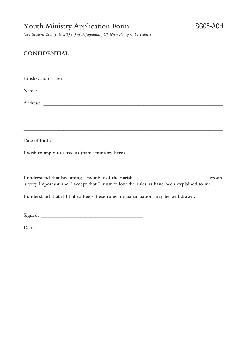## **Youth Ministry Application Form** SG05-ACH

*(See Sections 2(b) (i) & 2(b) (ii) of Safeguarding Children Policy & Procedures)*

### **CONFIDENTIAL**

Parish/Church area: \_\_\_\_\_\_\_\_\_\_\_\_\_\_\_\_\_\_\_\_\_\_\_\_\_\_\_\_\_\_\_\_\_\_\_\_\_\_\_\_\_\_\_\_\_\_\_\_\_\_\_\_\_\_\_\_\_\_\_\_\_\_ Name: \_\_\_\_\_\_\_\_\_\_\_\_\_\_\_\_\_\_\_\_\_\_\_\_\_\_\_\_\_\_\_\_\_\_\_\_\_\_\_\_\_\_\_\_\_\_\_\_\_\_\_\_\_\_\_\_\_\_\_\_\_\_\_\_\_\_\_\_\_\_\_\_\_\_ Address: \_\_\_\_\_\_\_\_\_\_\_\_\_\_\_\_\_\_\_\_\_\_\_\_\_\_\_\_\_\_\_\_\_\_\_\_\_\_\_\_\_\_\_\_\_\_\_\_\_\_\_\_\_\_\_\_\_\_\_\_\_\_\_\_\_\_\_\_\_\_\_\_ \_\_\_\_\_\_\_\_\_\_\_\_\_\_\_\_\_\_\_\_\_\_\_\_\_\_\_\_\_\_\_\_\_\_\_\_\_\_\_\_\_\_\_\_\_\_\_\_\_\_\_\_\_\_\_\_\_\_\_\_\_\_\_\_\_\_\_\_\_\_\_\_\_\_\_\_\_\_\_\_ \_\_\_\_\_\_\_\_\_\_\_\_\_\_\_\_\_\_\_\_\_\_\_\_\_\_\_\_\_\_\_\_\_\_\_\_\_\_\_\_\_\_\_\_\_\_\_\_\_\_\_\_\_\_\_\_\_\_\_\_\_\_\_\_\_\_\_\_\_\_\_\_\_\_\_\_\_\_\_\_ Date of Birth: \_\_\_\_\_\_\_\_\_\_\_\_\_\_\_\_\_\_\_\_\_\_\_\_\_\_\_\_\_\_\_\_\_\_ **I wish to apply to serve as (name ministry here)** \_\_\_\_\_\_\_\_\_\_\_\_\_\_\_\_\_\_\_\_\_\_\_\_\_\_\_\_\_\_\_\_\_\_\_\_\_\_\_\_\_\_\_ **I understand that becoming a member of the parish** \_\_\_\_\_\_\_\_\_\_\_\_\_\_\_\_\_\_\_\_\_\_\_\_\_\_\_\_\_ **group is very important and I accept that I must follow the rules as have been explained to me. I understand that if I fail to keep these rules my participation may be withdrawn. Signed:** \_\_\_\_\_\_\_\_\_\_\_\_\_\_\_\_\_\_\_\_\_\_\_\_\_\_\_\_\_\_\_\_\_\_\_\_\_\_\_\_\_ Date: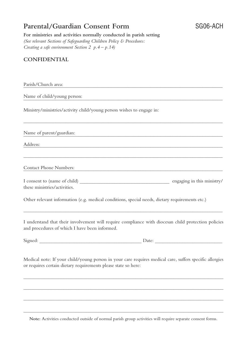## **Parental/Guardian Consent Form** SG06-ACH

**For ministries and activities normally conducted in parish setting** *(See relevant Sections of Safeguarding Children Policy & Procedures: Creating a safe environment Section 2 p.4 – p.14)*

### **CONFIDENTIAL**

Parish/Church are  $ea:$ 

Name of child/young person n\_: \_\_\_\_\_\_\_\_\_\_\_\_\_\_\_\_\_\_\_\_\_\_\_\_\_\_\_\_\_\_\_\_\_\_\_\_\_\_\_\_\_\_\_\_\_\_\_\_\_\_\_\_\_\_\_\_

Ministry/ministries/activity child/young person wishes to engage in:

Name of parent/guardian

Address:  $ss:$ 

Contact Phone Numbers: \_\_\_\_\_\_\_\_\_\_\_\_\_\_\_\_\_\_\_\_\_\_\_\_\_\_\_\_\_\_\_\_\_\_\_\_\_\_\_\_\_\_\_\_\_\_\_\_\_\_\_\_\_\_\_\_\_\_\_\_

| I consent to (name of child) | engaging in this ministry/ |
|------------------------------|----------------------------|
| these ministries/activities. |                            |

\_\_\_\_\_\_\_\_\_\_\_\_\_\_\_\_\_\_\_\_\_\_\_\_\_\_\_\_\_\_\_\_\_\_\_\_\_\_\_\_\_\_\_\_\_\_\_\_\_\_\_\_\_\_\_\_\_\_\_\_\_\_\_\_\_\_\_\_\_\_\_\_\_\_\_\_\_\_\_\_

\_\_\_\_\_\_\_\_\_\_\_\_\_\_\_\_\_\_\_\_\_\_\_\_\_\_\_\_\_\_\_\_\_\_\_\_\_\_\_\_\_\_\_\_\_\_\_\_\_\_\_\_\_\_\_\_\_\_\_\_\_\_\_\_\_\_\_\_\_\_\_\_\_\_\_\_\_\_\_\_

Other relevant information (e.g. medical conditions, special needs, dietary requirements etc.)

I understand that their involvement will require compliance with diocesan child protection policies and procedures of which I have been informed.

\_\_\_\_\_\_\_\_\_\_\_\_\_\_\_\_\_\_\_\_\_\_\_\_\_\_\_\_\_\_\_\_\_\_\_\_\_\_\_\_\_\_\_\_\_\_\_\_\_\_\_\_\_\_\_\_\_\_\_\_\_\_\_\_\_\_\_\_\_\_\_\_\_\_\_\_\_\_\_\_

 $Signed:$ 

Medical note: If your child/young person in your care requires medical care, suffers specific allergies or requires certain dietary requirements please state so here:

\_\_\_\_\_\_\_\_\_\_\_\_\_\_\_\_\_\_\_\_\_\_\_\_\_\_\_\_\_\_\_\_\_\_\_\_\_\_\_\_\_\_\_\_\_\_\_\_\_\_\_\_\_\_\_\_\_\_\_\_\_\_\_\_\_\_\_\_\_\_\_\_\_\_\_\_\_\_\_\_

\_\_\_\_\_\_\_\_\_\_\_\_\_\_\_\_\_\_\_\_\_\_\_\_\_\_\_\_\_\_\_\_\_\_\_\_\_\_\_\_\_\_\_\_\_\_\_\_\_\_\_\_\_\_\_\_\_\_\_\_\_\_\_\_\_\_\_\_\_\_\_\_\_\_\_\_\_\_\_\_

\_\_\_\_\_\_\_\_\_\_\_\_\_\_\_\_\_\_\_\_\_\_\_\_\_\_\_\_\_\_\_\_\_\_\_\_\_\_\_\_\_\_\_\_\_\_\_\_\_\_\_\_\_\_\_\_\_\_\_\_\_\_\_\_\_\_\_\_\_\_\_\_\_\_\_\_\_\_\_\_

**Note:** Activities conducted outside of normal parish group activities will require separate consent forms.

\_\_\_\_\_\_\_\_\_\_\_\_\_\_\_\_\_\_\_\_\_\_\_\_\_\_\_\_\_\_\_\_\_\_\_\_\_\_\_\_\_\_\_\_\_\_\_\_\_\_\_\_\_\_\_\_\_\_\_\_\_\_\_\_\_\_\_\_\_\_\_\_\_\_\_\_\_\_\_\_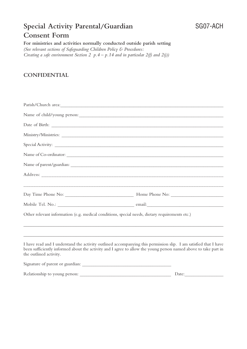## **Special Activity Parental/Guardian** SG07-ACH **Consent Form**

**For ministries and activities normally conducted outside parish setting** *(See relevant sections of Safeguarding Children Policy & Procedures: Creating a safe environment Section 2 p.4 – p.14 and in particular 2(f) and 2(j))*

### **CONFIDENTIAL**

| Name of child/young person:                                                                                                                                                                                                                                   |  |
|---------------------------------------------------------------------------------------------------------------------------------------------------------------------------------------------------------------------------------------------------------------|--|
|                                                                                                                                                                                                                                                               |  |
|                                                                                                                                                                                                                                                               |  |
|                                                                                                                                                                                                                                                               |  |
| Name of Co-ordinator:                                                                                                                                                                                                                                         |  |
|                                                                                                                                                                                                                                                               |  |
|                                                                                                                                                                                                                                                               |  |
|                                                                                                                                                                                                                                                               |  |
|                                                                                                                                                                                                                                                               |  |
| Other relevant information (e.g. medical conditions, special needs, dietary requirements etc.)                                                                                                                                                                |  |
|                                                                                                                                                                                                                                                               |  |
| I have read and I understand the activity outlined accompanying this permission slip. I am satisfied that I have<br>been sufficiently informed about the activity and I agree to allow the young person named above to take part in<br>the outlined activity. |  |
|                                                                                                                                                                                                                                                               |  |
|                                                                                                                                                                                                                                                               |  |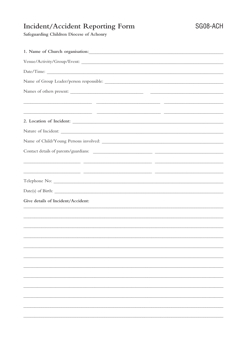## Incident/Accident Reporting Form

Safeguarding Children Diocese of Achonry

| 2. Location of Incident:                                                                                               |
|------------------------------------------------------------------------------------------------------------------------|
|                                                                                                                        |
| Name of Child/Young Persons involved:                                                                                  |
|                                                                                                                        |
|                                                                                                                        |
|                                                                                                                        |
|                                                                                                                        |
|                                                                                                                        |
| Give details of Incident/Accident:<br>,我们也不能在这里的时候,我们也不能在这里的时候,我们也不能会不能会不能会不能会不能会不能会不能会不能会不能会不能会。""我们的是我们的,我们也不能会不能会不能 |
|                                                                                                                        |
|                                                                                                                        |
|                                                                                                                        |
|                                                                                                                        |
|                                                                                                                        |
|                                                                                                                        |
|                                                                                                                        |
|                                                                                                                        |
|                                                                                                                        |
|                                                                                                                        |
|                                                                                                                        |
|                                                                                                                        |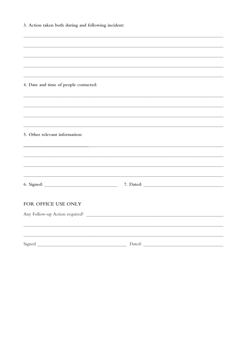| 3. Action taken both during and following incident: |                                                                                  |  |
|-----------------------------------------------------|----------------------------------------------------------------------------------|--|
|                                                     |                                                                                  |  |
|                                                     |                                                                                  |  |
|                                                     | ,我们也不能在这里的时候,我们也不能在这里的时候,我们也不能在这里的时候,我们也不能会在这里的时候,我们也不能会在这里的时候,我们也不能会在这里的时候,我们也不 |  |
| 4. Date and time of people contacted:               |                                                                                  |  |
|                                                     |                                                                                  |  |
|                                                     |                                                                                  |  |
|                                                     |                                                                                  |  |
| 5. Other relevant information:                      |                                                                                  |  |
|                                                     |                                                                                  |  |
|                                                     |                                                                                  |  |
|                                                     |                                                                                  |  |
|                                                     |                                                                                  |  |
| FOR OFFICE USE ONLY                                 |                                                                                  |  |
| Any Follow-up Action required?                      |                                                                                  |  |
|                                                     |                                                                                  |  |
| Signed                                              | Dated:                                                                           |  |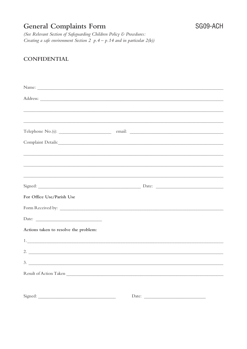## **General Complaints Form**

(See Relevant Section of Safeguarding Children Policy & Procedures: Creating a safe environment Section 2  $p.4 - p.14$  and in particular  $2(k)$ )

### **CONFIDENTIAL**

|                                       | <u> 1989 - Johann Barn, mars an t-Amerikaansk politiker (* 1958)</u>                                                  |  |
|---------------------------------------|-----------------------------------------------------------------------------------------------------------------------|--|
|                                       |                                                                                                                       |  |
|                                       |                                                                                                                       |  |
|                                       |                                                                                                                       |  |
|                                       |                                                                                                                       |  |
|                                       | <u> 1989 - Johann Stoff, deutscher Stoffen und der Stoffen und der Stoffen und der Stoffen und der Stoffen und de</u> |  |
|                                       | <u> 1989 - Johann Stoff, deutscher Stoff, der Stoff, der Stoff, der Stoff, der Stoff, der Stoff, der Stoff, der S</u> |  |
|                                       |                                                                                                                       |  |
| For Office Use/Parish Use             |                                                                                                                       |  |
|                                       |                                                                                                                       |  |
|                                       |                                                                                                                       |  |
| Actions taken to resolve the problem: |                                                                                                                       |  |
|                                       |                                                                                                                       |  |
|                                       | 2. $\overline{\phantom{a}}$                                                                                           |  |
|                                       | $\frac{3}{2}$                                                                                                         |  |
|                                       | Result of Action Taken                                                                                                |  |
|                                       |                                                                                                                       |  |
|                                       | Date:                                                                                                                 |  |
|                                       |                                                                                                                       |  |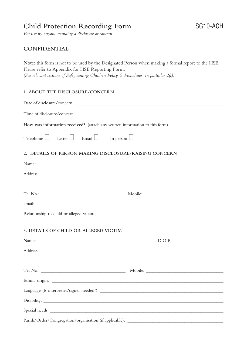## **Child Protection Recording Form** SG10-ACH

*For use by anyone recording a disclosure or concern*

### **CONFIDENTIAL**

**Note:** this form is not to be used by the Designated Person when making a formal report to the HSE. Please refer to Appendix for HSE Reporting Form. *(See relevant sections of Safeguarding Children Policy & Procedures: in partiular 2(c))*

#### **1. ABOUT THE DISCLOSURE/CONCERN**

| How was information received? (attach any written information to this form)                                                                                                                                                         |
|-------------------------------------------------------------------------------------------------------------------------------------------------------------------------------------------------------------------------------------|
| Telephone $\Box$ Letter $\Box$ Email $\Box$ In person $\Box$                                                                                                                                                                        |
| 2. DETAILS OF PERSON MAKING DISCLOSURE/RAISING CONCERN                                                                                                                                                                              |
|                                                                                                                                                                                                                                     |
| Address: <u>Address:</u> Address: Address: Address: Address: Address: Address: Address: Address: Address: Address: Address: Address: Address: Address: Address: Address: Address: Address: Address: Address: Address: Address: Addr |
|                                                                                                                                                                                                                                     |
|                                                                                                                                                                                                                                     |
|                                                                                                                                                                                                                                     |
|                                                                                                                                                                                                                                     |
| 3. DETAILS OF CHILD OR ALLEGED VICTIM                                                                                                                                                                                               |
|                                                                                                                                                                                                                                     |
|                                                                                                                                                                                                                                     |
|                                                                                                                                                                                                                                     |
|                                                                                                                                                                                                                                     |
|                                                                                                                                                                                                                                     |
|                                                                                                                                                                                                                                     |
|                                                                                                                                                                                                                                     |
|                                                                                                                                                                                                                                     |
| Parish/Order/Congregation/organisation (if applicable): ________________________                                                                                                                                                    |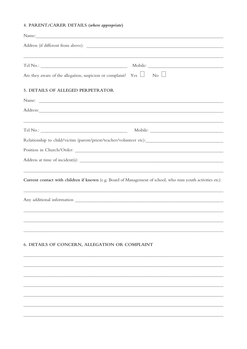#### 4. PARENT/CARER DETAILS (where appropriate)

| Name: Name and the second contract of the second contract of the second contract of the second contract of the second contract of the second contract of the second contract of the second contract of the second contract of  |  |
|--------------------------------------------------------------------------------------------------------------------------------------------------------------------------------------------------------------------------------|--|
|                                                                                                                                                                                                                                |  |
|                                                                                                                                                                                                                                |  |
| Are they aware of the allegation, suspicion or complaint? Yes $\Box$ No $\Box$                                                                                                                                                 |  |
| 5. DETAILS OF ALLEGED PERPETRATOR                                                                                                                                                                                              |  |
| Name:                                                                                                                                                                                                                          |  |
| Address: and the contract of the contract of the contract of the contract of the contract of the contract of the contract of the contract of the contract of the contract of the contract of the contract of the contract of t |  |
| <u> 1999 - Jan Barbara, martxa al III-lea (h. 1989).</u>                                                                                                                                                                       |  |
| Relationship to child/victim (parent/priest/teacher/volunteer etc):                                                                                                                                                            |  |
|                                                                                                                                                                                                                                |  |
|                                                                                                                                                                                                                                |  |
|                                                                                                                                                                                                                                |  |
| Current contact with children if known (e.g. Board of Management of school, who runs youth activities etc):                                                                                                                    |  |
|                                                                                                                                                                                                                                |  |
|                                                                                                                                                                                                                                |  |
|                                                                                                                                                                                                                                |  |
| 6. DETAILS OF CONCERN, ALLEGATION OR COMPLAINT                                                                                                                                                                                 |  |
|                                                                                                                                                                                                                                |  |
|                                                                                                                                                                                                                                |  |
|                                                                                                                                                                                                                                |  |
|                                                                                                                                                                                                                                |  |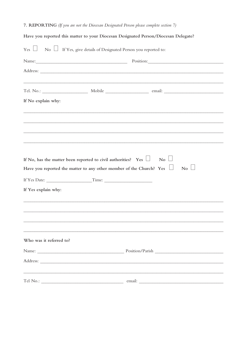### 7. REPORTING (If you are not the Diocesan Designated Person please complete section 7)

| Have you reported this matter to your Diocesan Designated Person/Diocesan Delegate? |                                                                                                                                                    |                                                                                                                                                                                                                                |  |  |  |
|-------------------------------------------------------------------------------------|----------------------------------------------------------------------------------------------------------------------------------------------------|--------------------------------------------------------------------------------------------------------------------------------------------------------------------------------------------------------------------------------|--|--|--|
|                                                                                     | $Yes$ $\Box$ No $\Box$ If Yes, give details of Designated Person you reported to:                                                                  |                                                                                                                                                                                                                                |  |  |  |
|                                                                                     |                                                                                                                                                    | Position: Note and the contract of the contract of the contract of the contract of the contract of the contract of the contract of the contract of the contract of the contract of the contract of the contract of the contrac |  |  |  |
|                                                                                     |                                                                                                                                                    |                                                                                                                                                                                                                                |  |  |  |
|                                                                                     |                                                                                                                                                    | ,我们也不能在这里的时候,我们也不能在这里的时候,我们也不能在这里的时候,我们也不能会不能会不能会不能会不能会不能会不能会不能会。<br>第2012章 我们的时候,我们的时候,我们的时候,我们的时候,我们的时候,我们的时候,我们的时候,我们的时候,我们的时候,我们的时候,我们的时候,我们的时候,我                                                                          |  |  |  |
| If No explain why:                                                                  |                                                                                                                                                    |                                                                                                                                                                                                                                |  |  |  |
|                                                                                     |                                                                                                                                                    |                                                                                                                                                                                                                                |  |  |  |
|                                                                                     |                                                                                                                                                    | <u> 1989 - Andrea San Andrea Andrea Andrea Andrea Andrea Andrea Andrea Andrea Andrea Andrea Andrea Andrea Andrea </u>                                                                                                          |  |  |  |
|                                                                                     |                                                                                                                                                    |                                                                                                                                                                                                                                |  |  |  |
|                                                                                     | If No, has the matter been reported to civil authorities? Yes $\Box$<br>Have you reported the matter to any other member of the Church? Yes $\Box$ | $\overline{\phantom{0}}$ No $\overline{\phantom{0}}$<br>$\overline{N_0}$                                                                                                                                                       |  |  |  |
|                                                                                     |                                                                                                                                                    |                                                                                                                                                                                                                                |  |  |  |
| If Yes explain why:                                                                 |                                                                                                                                                    |                                                                                                                                                                                                                                |  |  |  |
|                                                                                     |                                                                                                                                                    |                                                                                                                                                                                                                                |  |  |  |
|                                                                                     |                                                                                                                                                    |                                                                                                                                                                                                                                |  |  |  |
| Who was it referred to?                                                             |                                                                                                                                                    |                                                                                                                                                                                                                                |  |  |  |
|                                                                                     |                                                                                                                                                    |                                                                                                                                                                                                                                |  |  |  |
|                                                                                     |                                                                                                                                                    |                                                                                                                                                                                                                                |  |  |  |
|                                                                                     |                                                                                                                                                    |                                                                                                                                                                                                                                |  |  |  |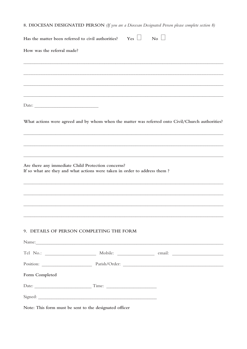8. DIOCESAN DESIGNATED PERSON (If you are a Diocesan Designated Person please complete section 8)

| Has the matter been referred to civil authorities? | Yes                                                                                                                                                                                                                                                                                              | No                                                                                                  |
|----------------------------------------------------|--------------------------------------------------------------------------------------------------------------------------------------------------------------------------------------------------------------------------------------------------------------------------------------------------|-----------------------------------------------------------------------------------------------------|
| How was the referral made?                         |                                                                                                                                                                                                                                                                                                  |                                                                                                     |
|                                                    |                                                                                                                                                                                                                                                                                                  |                                                                                                     |
|                                                    |                                                                                                                                                                                                                                                                                                  |                                                                                                     |
|                                                    |                                                                                                                                                                                                                                                                                                  |                                                                                                     |
|                                                    |                                                                                                                                                                                                                                                                                                  |                                                                                                     |
|                                                    |                                                                                                                                                                                                                                                                                                  | What actions were agreed and by whom when the matter was referred onto Civil/Church authorities?    |
|                                                    |                                                                                                                                                                                                                                                                                                  |                                                                                                     |
|                                                    |                                                                                                                                                                                                                                                                                                  |                                                                                                     |
|                                                    | Are there any immediate Child Protection concerns?<br>If so what are they and what actions were taken in order to address them?                                                                                                                                                                  |                                                                                                     |
|                                                    |                                                                                                                                                                                                                                                                                                  |                                                                                                     |
|                                                    |                                                                                                                                                                                                                                                                                                  |                                                                                                     |
|                                                    |                                                                                                                                                                                                                                                                                                  |                                                                                                     |
|                                                    | 9. DETAILS OF PERSON COMPLETING THE FORM                                                                                                                                                                                                                                                         |                                                                                                     |
|                                                    | Name:                                                                                                                                                                                                                                                                                            |                                                                                                     |
|                                                    |                                                                                                                                                                                                                                                                                                  | Tel No.: __________________________ Mobile: __________________ email: _____________________________ |
|                                                    |                                                                                                                                                                                                                                                                                                  |                                                                                                     |
| Form Completed                                     |                                                                                                                                                                                                                                                                                                  |                                                                                                     |
|                                                    |                                                                                                                                                                                                                                                                                                  |                                                                                                     |
|                                                    | $\mathbf{r}$ and $\mathbf{r}$ and $\mathbf{r}$ and $\mathbf{r}$ and $\mathbf{r}$ and $\mathbf{r}$ and $\mathbf{r}$ and $\mathbf{r}$ and $\mathbf{r}$ and $\mathbf{r}$ and $\mathbf{r}$ and $\mathbf{r}$ and $\mathbf{r}$ and $\mathbf{r}$ and $\mathbf{r}$ and $\mathbf{r}$ and $\mathbf{r}$ and |                                                                                                     |

Note: This form must be sent to the designated officer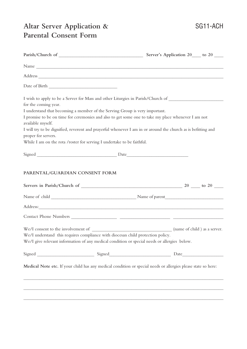## **Altar Server Application &** SG11-ACH **Parental Consent Form**

| for the coming year. | I understand that becoming a member of the Serving Group is very important.     | I wish to apply to be a Server for Mass and other Liturgies in Parish/Church of ______________________________ |
|----------------------|---------------------------------------------------------------------------------|----------------------------------------------------------------------------------------------------------------|
| available myself.    |                                                                                 | I promise to be on time for ceremonies and also to get some one to take my place whenever I am not             |
| proper for servers.  |                                                                                 | I will try to be dignified, reverent and prayerful whenever I am in or around the church as is befitting and   |
|                      | While I am on the rota /roster for serving I undertake to be faithful.          |                                                                                                                |
|                      |                                                                                 |                                                                                                                |
|                      |                                                                                 |                                                                                                                |
|                      |                                                                                 |                                                                                                                |
|                      |                                                                                 | Address:                                                                                                       |
|                      |                                                                                 |                                                                                                                |
|                      | We/I understand this requires compliance with diocesan child protection policy. | We/I give relevant information of any medical condition or special needs or allergies below.                   |
|                      |                                                                                 |                                                                                                                |
|                      |                                                                                 | Medical Note etc. If your child has any medical condition or special needs or allergies please state so here:  |
|                      |                                                                                 |                                                                                                                |
|                      |                                                                                 | ,我们也不会有什么。""我们的人,我们也不会有什么?""我们的人,我们也不会有什么?""我们的人,我们也不会有什么?""我们的人,我们也不会有什么?""我们的人                               |
|                      |                                                                                 |                                                                                                                |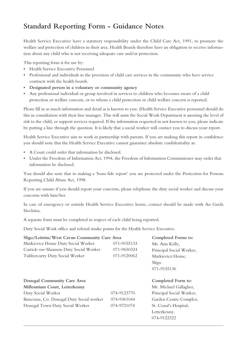## **Standard Reporting Form - Guidance Notes**

Health Service Executive have a statutory responsibility under the Child Care Act, 1991, to promote the welfare and protection of children in their area. Health Boards therefore have an obligation to receive information about any child who is not receiving adequate care and/or protection.

This reporting form is for use by:

- Health Service Executive Personnel
- Professional and individuals in the provision of child care services in the community who have service contracts with the health boards.
- **Designated person in a voluntary or community agency**
- Any professional individual or group involved in services to children who becomes aware of a child protection or welfare concern, or to whom a child protection or child welfare concern is reported.

Please fill in as much information and detail as is known to you. (Health Service Executive personnel should do this in consultation with their line manager. This will assist the Social Work Department is assessing the level of risk to the child, or support services required. If the information requested in not known to you, please indicate by putting a line through the question. It is likely that a social worker will contact you to discuss your report.

Health Service Executive aim to work in partnership with parents. If you are making this report in confidence you should note that the Health Service Executive cannot guarantee absolute confidentiality as:

- A Court could order that information be disclosed.
- Under the Freedom of Information Act, 1994, the Freedom of Information Commissioner may order that information be disclosed.

You should also note that in making a 'bona fide report' you are protected under the Protection for Persons Reporting Child Abuse Act, 1998.

If you are unsure if you should report your concerns, please telephone the duty social worker and discuss your concerns with him/her.

In case of emergency or outside Health Service Executive hours, contact should be made with An Garda Síochána.

A separate form must be completed in respect of each child being reported.

Duty Social Work office and referral intake points for the Health Service Executive.

|                                                    | Sligo/Leitrim/West Cavan Community Care Area |                          |  |  |
|----------------------------------------------------|----------------------------------------------|--------------------------|--|--|
| Markievicz House Duty Social Worker<br>071-9155133 |                                              | Ms. Ann Kelly,           |  |  |
| Carrick-on-Shannon Duty Social Worker              | 071-9650324                                  | Principal Social Worker, |  |  |
| Tubbercurry Duty Social Worker                     | 071-9120062                                  | Markievicz House,        |  |  |
|                                                    |                                              | Sligo.                   |  |  |
|                                                    |                                              | 071-9155136              |  |  |
| Donegal Community Care Area                        |                                              | Completed Form to:       |  |  |
| Millennium Court, Letterkenny                      |                                              | Mr. Michael Gallagher,   |  |  |
| Duty Social Worker                                 | 074-9123770                                  | Principal Social Worker, |  |  |
| Buncrana, Co. Donegal Duty Social worker           | 074-9361044                                  | Garden Centre Complex,   |  |  |
| Donegal Town Duty Social Worker                    | 074-9721074                                  | St. Conal's Hospital,    |  |  |
|                                                    |                                              | Letterkenny.             |  |  |
|                                                    |                                              | 074-9122322              |  |  |
|                                                    |                                              |                          |  |  |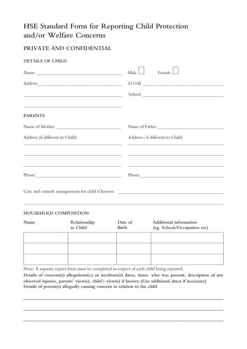## **HSE Standard Form for Reporting Child Protection and/or Welfare Concerns**

## **PRIVATE AND CONFIDENTIAL**

### **DETAILS OF CHILD**

| Name                                                                                                                 | Male<br>Female                                                                                                                                                                                                                       |
|----------------------------------------------------------------------------------------------------------------------|--------------------------------------------------------------------------------------------------------------------------------------------------------------------------------------------------------------------------------------|
|                                                                                                                      | D.O.B                                                                                                                                                                                                                                |
|                                                                                                                      | School <u>and the community of the community of the community of the community of the community of the community of the community of the community of the community of the community of the community of the community of the co</u> |
|                                                                                                                      |                                                                                                                                                                                                                                      |
| <b>PARENTS</b>                                                                                                       |                                                                                                                                                                                                                                      |
| Name of Mother                                                                                                       | Name of Father                                                                                                                                                                                                                       |
| Address (if different to Child)                                                                                      | Address (if different to Child)                                                                                                                                                                                                      |
| <u> 1989 - Andrea Santa Andrea Santa Andrea Santa Andrea Santa Andrea Santa Andrea Santa Andrea Santa Andrea San</u> |                                                                                                                                                                                                                                      |
| <u> 1989 - John Stein, september 1989 - John Stein, september 1989 - John Stein, september 1989 - John Stein, se</u> | <u> 1990 - Johann John Stoff, deutscher Stoff, der Stoff, der Stoff, der Stoff, der Stoff, der Stoff, der Stoff, d</u>                                                                                                               |
|                                                                                                                      |                                                                                                                                                                                                                                      |
|                                                                                                                      |                                                                                                                                                                                                                                      |

#### **HOUSEHOLD COMPOSITION**

| Name | Relationship<br>to Child | Date of<br>Birth | Additional information<br>(eg. School/Occupation etc) |
|------|--------------------------|------------------|-------------------------------------------------------|
|      |                          |                  |                                                       |
|      |                          |                  |                                                       |
|      |                          |                  |                                                       |

\_\_\_\_\_\_\_\_\_\_\_\_\_\_\_\_\_\_\_\_\_\_\_\_\_\_\_\_\_\_\_\_\_\_\_\_\_\_\_\_\_\_\_\_\_\_\_\_\_\_\_\_\_\_\_\_\_\_\_\_\_\_\_\_\_\_\_\_\_\_\_\_\_\_\_\_\_\_\_\_\_\_\_\_\_\_\_\_

Note: A separate report form must be completed in respect of each child being reported.

**Details of concern(s) allegations(s,) or incidents(s) dates, times, who was present, description of any observed injuries, parents' view(s), child's view(s) if known (Use additional sheet if necessary) Details of person(s) allegedly causing concern in relation to the child**

**\_\_\_\_\_\_\_\_\_\_\_\_\_\_\_\_\_\_\_\_\_\_\_\_\_\_\_\_\_\_\_\_\_\_\_\_\_\_\_\_\_\_\_\_\_\_\_\_\_\_\_\_\_\_\_\_\_\_\_\_\_\_\_\_\_\_\_\_\_\_\_\_\_\_\_\_\_\_\_\_\_\_\_\_\_\_\_\_\_**

**\_\_\_\_\_\_\_\_\_\_\_\_\_\_\_\_\_\_\_\_\_\_\_\_\_\_\_\_\_\_\_\_\_\_\_\_\_\_\_\_\_\_\_\_\_\_\_\_\_\_\_\_\_\_\_\_\_\_\_\_\_\_\_\_\_\_\_\_\_\_\_\_\_\_\_\_\_\_\_\_\_\_\_\_\_\_\_\_\_**

**\_\_\_\_\_\_\_\_\_\_\_\_\_\_\_\_\_\_\_\_\_\_\_\_\_\_\_\_\_\_\_\_\_\_\_\_\_\_\_\_\_\_\_\_\_\_\_\_\_\_\_\_\_\_\_\_\_\_\_\_\_\_\_\_\_\_\_\_\_\_\_\_\_\_\_\_\_\_\_\_\_\_\_\_\_\_\_\_\_**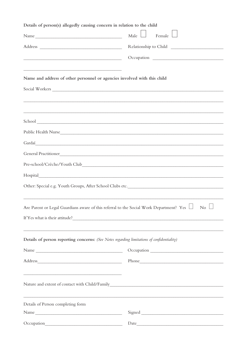| Details of person(s) allegedly causing concern in relation to the child                                                                                                                                                                            |                                                                                                          |
|----------------------------------------------------------------------------------------------------------------------------------------------------------------------------------------------------------------------------------------------------|----------------------------------------------------------------------------------------------------------|
| Name                                                                                                                                                                                                                                               | Male<br>Female L                                                                                         |
|                                                                                                                                                                                                                                                    |                                                                                                          |
| <u> 1989 - Johann Barn, mars ar breithinn ar chwaraeth a bhaile ann an t-</u>                                                                                                                                                                      |                                                                                                          |
|                                                                                                                                                                                                                                                    |                                                                                                          |
| Name and address of other personnel or agencies involved with this child                                                                                                                                                                           |                                                                                                          |
|                                                                                                                                                                                                                                                    |                                                                                                          |
|                                                                                                                                                                                                                                                    |                                                                                                          |
|                                                                                                                                                                                                                                                    | ,我们也不会有什么。""我们的人,我们也不会有什么?""我们的人,我们也不会有什么?""我们的人,我们也不会有什么?""我们的人,我们也不会有什么?""我们的人                         |
|                                                                                                                                                                                                                                                    |                                                                                                          |
|                                                                                                                                                                                                                                                    |                                                                                                          |
|                                                                                                                                                                                                                                                    |                                                                                                          |
|                                                                                                                                                                                                                                                    | General Practitioner                                                                                     |
|                                                                                                                                                                                                                                                    |                                                                                                          |
|                                                                                                                                                                                                                                                    |                                                                                                          |
|                                                                                                                                                                                                                                                    |                                                                                                          |
|                                                                                                                                                                                                                                                    |                                                                                                          |
|                                                                                                                                                                                                                                                    | Are Parent or Legal Guardians aware of this referral to the Social Work Department? Yes $\Box$ No $\Box$ |
|                                                                                                                                                                                                                                                    |                                                                                                          |
|                                                                                                                                                                                                                                                    |                                                                                                          |
| Details of person reporting concerns: (See Notes regarding limitations of confidentiality)                                                                                                                                                         |                                                                                                          |
| Name                                                                                                                                                                                                                                               |                                                                                                          |
|                                                                                                                                                                                                                                                    |                                                                                                          |
| <u> 1989 - Johann Stoff, amerikansk politiker (* 1908)</u>                                                                                                                                                                                         |                                                                                                          |
|                                                                                                                                                                                                                                                    |                                                                                                          |
|                                                                                                                                                                                                                                                    |                                                                                                          |
| Details of Person completing form                                                                                                                                                                                                                  |                                                                                                          |
|                                                                                                                                                                                                                                                    |                                                                                                          |
| Occupation<br><u>and the state of the state of the state of the state of the state of the state of the state of the state of the state of the state of the state of the state of the state of the state of the state of the state of the state</u> | Date                                                                                                     |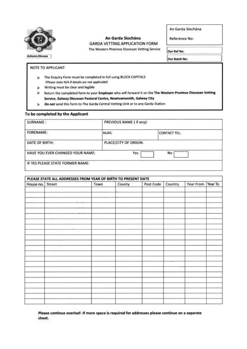

#### An Garda Síochána **GARDA VETTING APPLICATION FORM**

The Western Province Diocesan Vetting Service

An Garda Síochána

Reference No:

Our Ref No:

Our Batch No:

#### NOTE TO APPLICANT

- > The Enquiry Form must be completed in full using BLOCK CAPITALS (Please state N/A if details are not applicable)
- $\triangleright$  Writing must be clear and legible
- > Return the completed form to your Employer who will forward it on the The Western Province Diocesan Vetting Service, Galway Diocesan Pastoral Centre, Newtownsmith, Galway City
- Do not send this form to The Garda Central Vetting Unit or to any Garda Station

#### To be completed by the Applicant

| SURNAME:<br>2020년 10월 9일 1일 1일 1일 | PREVIOUS NAME ( if any):      |    |  |
|-----------------------------------|-------------------------------|----|--|
| FORENAME:                         | ALIAS:<br><b>CONTACT TEL:</b> |    |  |
| DATE OF BIRTH:                    | PLACE/CITY OF ORIGIN:         |    |  |
| HAVE YOU EVER CHANGED YOUR NAME:  | Yes.                          | No |  |
| IF YES PLEASE STATE FORMER NAME:  |                               |    |  |

| House no. Street | Town | County | Post Code | Country | Year From | Year To |
|------------------|------|--------|-----------|---------|-----------|---------|
|                  |      |        |           |         |           |         |
|                  |      |        |           |         |           |         |
|                  |      |        |           |         |           |         |
|                  |      |        |           |         |           |         |
|                  |      |        |           |         |           |         |
|                  |      |        |           |         |           |         |
|                  |      |        |           |         |           |         |
|                  |      |        |           |         |           |         |
|                  |      |        |           |         |           |         |
|                  |      |        |           |         |           |         |
|                  |      |        |           |         |           |         |
|                  |      |        |           |         |           |         |
|                  |      |        |           |         |           |         |
|                  |      |        |           |         |           |         |
|                  |      |        |           |         |           |         |
|                  |      |        |           |         |           |         |
|                  |      |        |           |         |           |         |
|                  |      |        |           |         |           |         |
|                  |      |        |           |         |           |         |
|                  |      |        |           |         |           |         |
|                  |      |        |           |         |           |         |
|                  |      |        |           |         |           |         |
|                  |      |        |           |         |           |         |
|                  |      |        |           |         |           |         |
|                  |      |        |           |         |           |         |
|                  |      |        |           |         |           |         |
|                  |      |        |           |         |           |         |

Please continue overleaf- If more space is required for addresses please continue on a separate sheet.